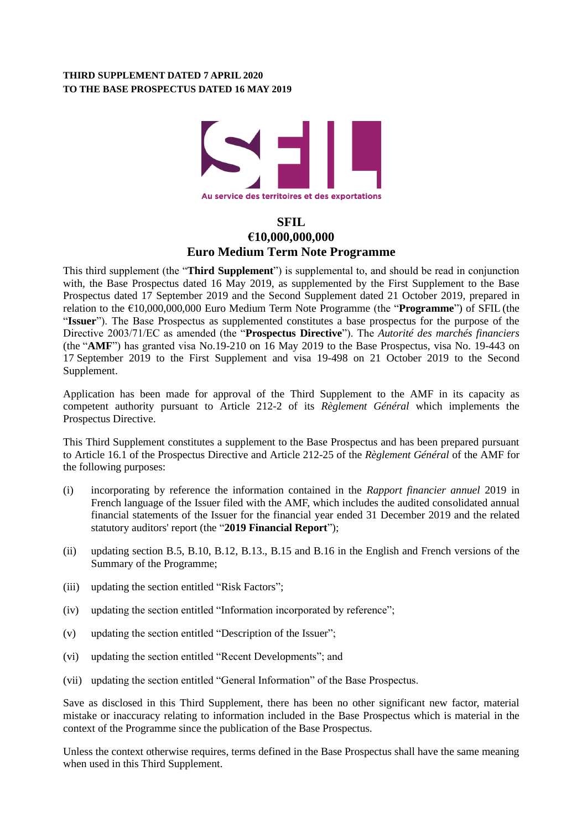## **THIRD SUPPLEMENT DATED 7 APRIL 2020 TO THE BASE PROSPECTUS DATED 16 MAY 2019**



# **SFIL €10,000,000,000 Euro Medium Term Note Programme**

This third supplement (the "**Third Supplement**") is supplemental to, and should be read in conjunction with, the Base Prospectus dated 16 May 2019, as supplemented by the First Supplement to the Base Prospectus dated 17 September 2019 and the Second Supplement dated 21 October 2019, prepared in relation to the €10,000,000,000 Euro Medium Term Note Programme (the "**Programme**") of SFIL (the "**Issuer**"). The Base Prospectus as supplemented constitutes a base prospectus for the purpose of the Directive 2003/71/EC as amended (the "**Prospectus Directive**"). The *Autorité des marchés financiers* (the "**AMF**") has granted visa No.19-210 on 16 May 2019 to the Base Prospectus, visa No. 19-443 on 17 September 2019 to the First Supplement and visa 19-498 on 21 October 2019 to the Second Supplement.

Application has been made for approval of the Third Supplement to the AMF in its capacity as competent authority pursuant to Article 212-2 of its *Règlement Général* which implements the Prospectus Directive.

This Third Supplement constitutes a supplement to the Base Prospectus and has been prepared pursuant to Article 16.1 of the Prospectus Directive and Article 212-25 of the *Règlement Général* of the AMF for the following purposes:

- (i) incorporating by reference the information contained in the *Rapport financier annuel* 2019 in French language of the Issuer filed with the AMF, which includes the audited consolidated annual financial statements of the Issuer for the financial year ended 31 December 2019 and the related statutory auditors' report (the "**2019 Financial Report**");
- (ii) updating section B.5, B.10, B.12, B.13., B.15 and B.16 in the English and French versions of the Summary of the Programme;
- (iii) updating the section entitled "Risk Factors";
- (iv) updating the section entitled "Information incorporated by reference";
- (v) updating the section entitled "Description of the Issuer";
- (vi) updating the section entitled "Recent Developments"; and
- (vii) updating the section entitled "General Information" of the Base Prospectus.

Save as disclosed in this Third Supplement, there has been no other significant new factor, material mistake or inaccuracy relating to information included in the Base Prospectus which is material in the context of the Programme since the publication of the Base Prospectus.

Unless the context otherwise requires, terms defined in the Base Prospectus shall have the same meaning when used in this Third Supplement.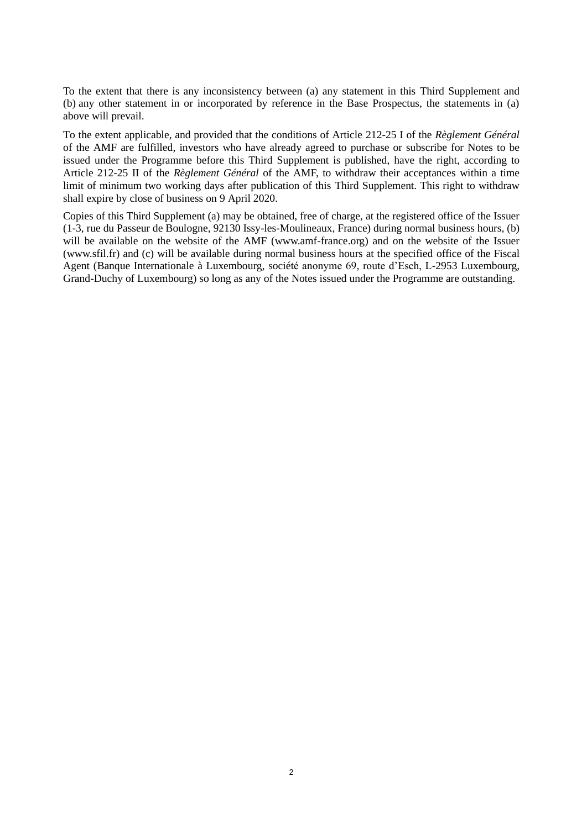To the extent that there is any inconsistency between (a) any statement in this Third Supplement and (b) any other statement in or incorporated by reference in the Base Prospectus, the statements in (a) above will prevail.

To the extent applicable, and provided that the conditions of Article 212-25 I of the *Règlement Général* of the AMF are fulfilled, investors who have already agreed to purchase or subscribe for Notes to be issued under the Programme before this Third Supplement is published, have the right, according to Article 212-25 II of the *Règlement Général* of the AMF, to withdraw their acceptances within a time limit of minimum two working days after publication of this Third Supplement. This right to withdraw shall expire by close of business on 9 April 2020.

Copies of this Third Supplement (a) may be obtained, free of charge, at the registered office of the Issuer (1-3, rue du Passeur de Boulogne, 92130 Issy-les-Moulineaux, France) during normal business hours, (b) will be available on the website of the AMF (www.amf-france.org) and on the website of the Issuer (www.sfil.fr) and (c) will be available during normal business hours at the specified office of the Fiscal Agent (Banque Internationale à Luxembourg, société anonyme 69, route d'Esch, L-2953 Luxembourg, Grand-Duchy of Luxembourg) so long as any of the Notes issued under the Programme are outstanding.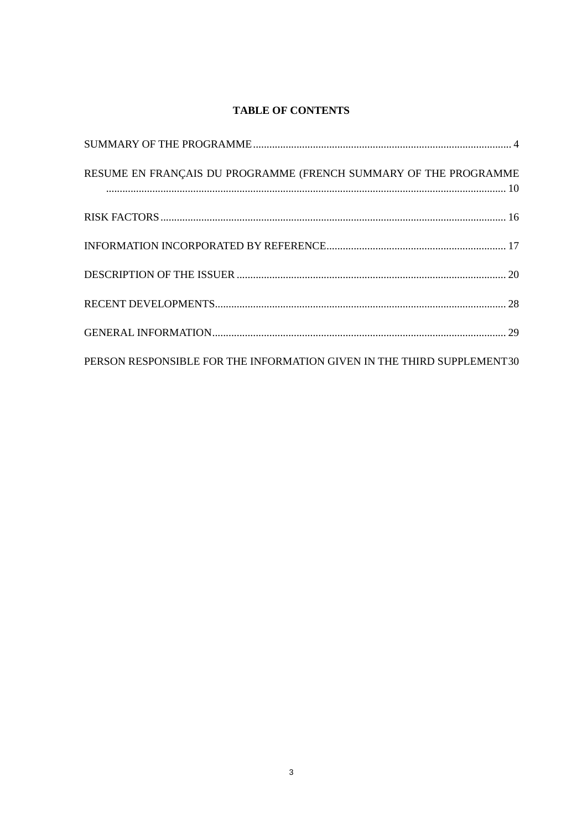# **TABLE OF CONTENTS**

| RESUME EN FRANÇAIS DU PROGRAMME (FRENCH SUMMARY OF THE PROGRAMME       |  |
|------------------------------------------------------------------------|--|
|                                                                        |  |
|                                                                        |  |
|                                                                        |  |
|                                                                        |  |
|                                                                        |  |
| PERSON RESPONSIBLE FOR THE INFORMATION GIVEN IN THE THIRD SUPPLEMENT30 |  |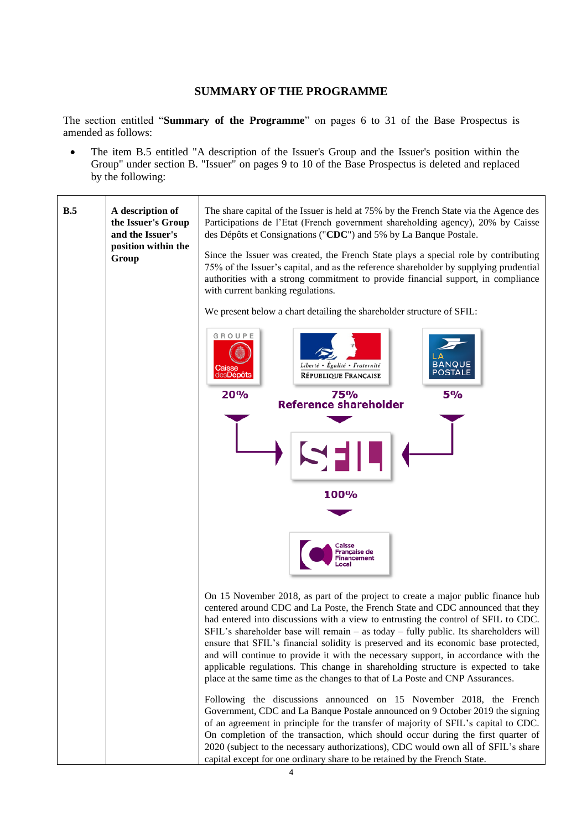# **SUMMARY OF THE PROGRAMME**

<span id="page-3-0"></span>The section entitled "**Summary of the Programme**" on pages 6 to 31 of the Base Prospectus is amended as follows:

• The item B.5 entitled "A description of the Issuer's Group and the Issuer's position within the Group" under section B. "Issuer" on pages 9 to 10 of the Base Prospectus is deleted and replaced by the following:

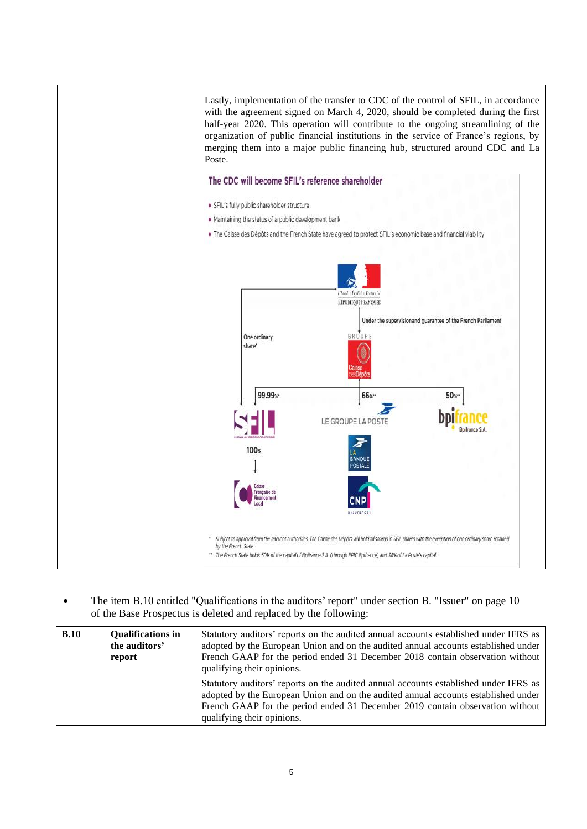

• The item B.10 entitled "Qualifications in the auditors' report" under section B. "Issuer" on page 10 of the Base Prospectus is deleted and replaced by the following:

| B.10 | <b>Oualifications in</b><br>the auditors'<br>report | Statutory auditors' reports on the audited annual accounts established under IFRS as<br>adopted by the European Union and on the audited annual accounts established under<br>French GAAP for the period ended 31 December 2018 contain observation without<br>qualifying their opinions. |
|------|-----------------------------------------------------|-------------------------------------------------------------------------------------------------------------------------------------------------------------------------------------------------------------------------------------------------------------------------------------------|
|      |                                                     | Statutory auditors' reports on the audited annual accounts established under IFRS as<br>adopted by the European Union and on the audited annual accounts established under<br>French GAAP for the period ended 31 December 2019 contain observation without<br>qualifying their opinions. |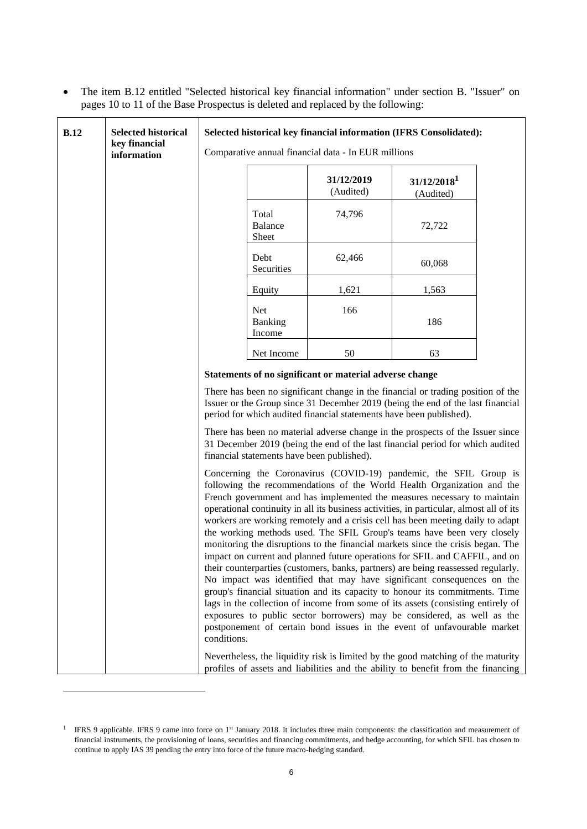• The item B.12 entitled "Selected historical key financial information" under section B. "Issuer" on pages 10 to 11 of the Base Prospectus is deleted and replaced by the following:

| <b>B.12</b> | <b>Selected historical</b><br>key financial<br>information | Selected historical key financial information (IFRS Consolidated):<br>Comparative annual financial data - In EUR millions                                                                                                                                                                                                                                                                                                                                                                                                                                                                                                                                                                                                                                                                                                                                                                                                                                                                                                                                                                                                                                                                                                                                                                                                                                                                                                                                       |                           |                                                         |                                                                                  |  |  |  |
|-------------|------------------------------------------------------------|-----------------------------------------------------------------------------------------------------------------------------------------------------------------------------------------------------------------------------------------------------------------------------------------------------------------------------------------------------------------------------------------------------------------------------------------------------------------------------------------------------------------------------------------------------------------------------------------------------------------------------------------------------------------------------------------------------------------------------------------------------------------------------------------------------------------------------------------------------------------------------------------------------------------------------------------------------------------------------------------------------------------------------------------------------------------------------------------------------------------------------------------------------------------------------------------------------------------------------------------------------------------------------------------------------------------------------------------------------------------------------------------------------------------------------------------------------------------|---------------------------|---------------------------------------------------------|----------------------------------------------------------------------------------|--|--|--|
|             |                                                            | 31/12/2019<br>31/12/2018 <sup>1</sup><br>(Audited)<br>(Audited)                                                                                                                                                                                                                                                                                                                                                                                                                                                                                                                                                                                                                                                                                                                                                                                                                                                                                                                                                                                                                                                                                                                                                                                                                                                                                                                                                                                                 |                           |                                                         |                                                                                  |  |  |  |
|             |                                                            |                                                                                                                                                                                                                                                                                                                                                                                                                                                                                                                                                                                                                                                                                                                                                                                                                                                                                                                                                                                                                                                                                                                                                                                                                                                                                                                                                                                                                                                                 | Total<br>Balance<br>Sheet | 74,796                                                  | 72,722                                                                           |  |  |  |
|             |                                                            |                                                                                                                                                                                                                                                                                                                                                                                                                                                                                                                                                                                                                                                                                                                                                                                                                                                                                                                                                                                                                                                                                                                                                                                                                                                                                                                                                                                                                                                                 | Debt<br>Securities        | 62,466                                                  | 60,068                                                                           |  |  |  |
|             |                                                            |                                                                                                                                                                                                                                                                                                                                                                                                                                                                                                                                                                                                                                                                                                                                                                                                                                                                                                                                                                                                                                                                                                                                                                                                                                                                                                                                                                                                                                                                 | Equity                    | 1,621                                                   | 1,563                                                                            |  |  |  |
|             |                                                            | Net<br>166<br>186<br>Banking<br>Income<br>50<br>Net Income<br>63                                                                                                                                                                                                                                                                                                                                                                                                                                                                                                                                                                                                                                                                                                                                                                                                                                                                                                                                                                                                                                                                                                                                                                                                                                                                                                                                                                                                |                           |                                                         |                                                                                  |  |  |  |
|             |                                                            |                                                                                                                                                                                                                                                                                                                                                                                                                                                                                                                                                                                                                                                                                                                                                                                                                                                                                                                                                                                                                                                                                                                                                                                                                                                                                                                                                                                                                                                                 |                           |                                                         |                                                                                  |  |  |  |
|             |                                                            |                                                                                                                                                                                                                                                                                                                                                                                                                                                                                                                                                                                                                                                                                                                                                                                                                                                                                                                                                                                                                                                                                                                                                                                                                                                                                                                                                                                                                                                                 |                           | Statements of no significant or material adverse change |                                                                                  |  |  |  |
|             |                                                            | There has been no significant change in the financial or trading position of the<br>Issuer or the Group since 31 December 2019 (being the end of the last financial<br>period for which audited financial statements have been published).                                                                                                                                                                                                                                                                                                                                                                                                                                                                                                                                                                                                                                                                                                                                                                                                                                                                                                                                                                                                                                                                                                                                                                                                                      |                           |                                                         |                                                                                  |  |  |  |
|             |                                                            | There has been no material adverse change in the prospects of the Issuer since<br>31 December 2019 (being the end of the last financial period for which audited<br>financial statements have been published).<br>Concerning the Coronavirus (COVID-19) pandemic, the SFIL Group is<br>following the recommendations of the World Health Organization and the<br>French government and has implemented the measures necessary to maintain<br>operational continuity in all its business activities, in particular, almost all of its<br>workers are working remotely and a crisis cell has been meeting daily to adapt<br>the working methods used. The SFIL Group's teams have been very closely<br>monitoring the disruptions to the financial markets since the crisis began. The<br>impact on current and planned future operations for SFIL and CAFFIL, and on<br>their counterparties (customers, banks, partners) are being reassessed regularly.<br>No impact was identified that may have significant consequences on the<br>group's financial situation and its capacity to honour its commitments. Time<br>lags in the collection of income from some of its assets (consisting entirely of<br>exposures to public sector borrowers) may be considered, as well as the<br>postponement of certain bond issues in the event of unfavourable market<br>conditions.<br>Nevertheless, the liquidity risk is limited by the good matching of the maturity |                           |                                                         |                                                                                  |  |  |  |
|             |                                                            |                                                                                                                                                                                                                                                                                                                                                                                                                                                                                                                                                                                                                                                                                                                                                                                                                                                                                                                                                                                                                                                                                                                                                                                                                                                                                                                                                                                                                                                                 |                           |                                                         |                                                                                  |  |  |  |
|             |                                                            |                                                                                                                                                                                                                                                                                                                                                                                                                                                                                                                                                                                                                                                                                                                                                                                                                                                                                                                                                                                                                                                                                                                                                                                                                                                                                                                                                                                                                                                                 |                           |                                                         | profiles of assets and liabilities and the ability to benefit from the financing |  |  |  |

<sup>&</sup>lt;sup>1</sup> IFRS 9 applicable. IFRS 9 came into force on 1<sup>st</sup> January 2018. It includes three main components: the classification and measurement of financial instruments, the provisioning of loans, securities and financing commitments, and hedge accounting, for which SFIL has chosen to continue to apply IAS 39 pending the entry into force of the future macro-hedging standard.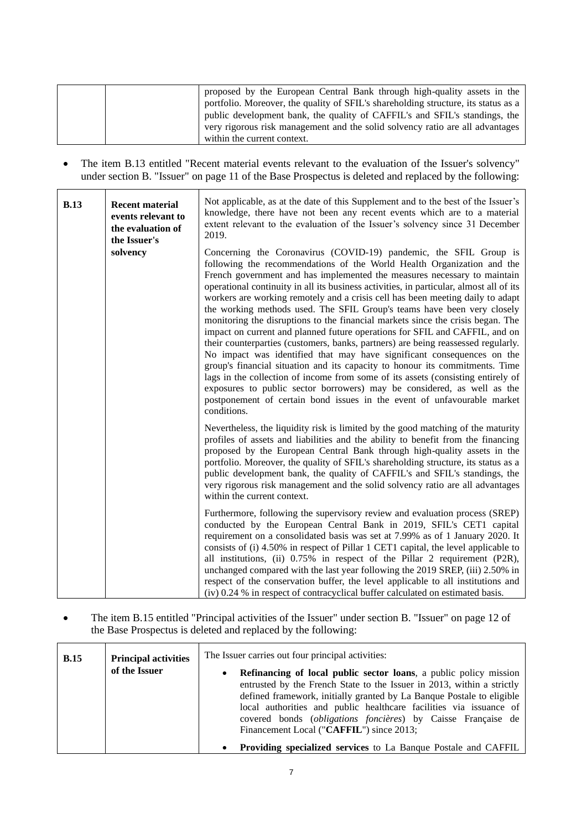|  | proposed by the European Central Bank through high-quality assets in the           |
|--|------------------------------------------------------------------------------------|
|  | portfolio. Moreover, the quality of SFIL's shareholding structure, its status as a |
|  | public development bank, the quality of CAFFIL's and SFIL's standings, the         |
|  | very rigorous risk management and the solid solvency ratio are all advantages      |
|  | within the current context.                                                        |

• The item B.13 entitled "Recent material events relevant to the evaluation of the Issuer's solvency" under section B. "Issuer" on page 11 of the Base Prospectus is deleted and replaced by the following:

| <b>B.13</b> | <b>Recent material</b><br>events relevant to<br>the evaluation of<br>the Issuer's | Not applicable, as at the date of this Supplement and to the best of the Issuer's<br>knowledge, there have not been any recent events which are to a material<br>extent relevant to the evaluation of the Issuer's solvency since 31 December<br>2019.                                                                                                                                                                                                                                                                                                                                                                                                                                                                                                                                                                                                                                                                                                                                                                                                                                                                                                    |
|-------------|-----------------------------------------------------------------------------------|-----------------------------------------------------------------------------------------------------------------------------------------------------------------------------------------------------------------------------------------------------------------------------------------------------------------------------------------------------------------------------------------------------------------------------------------------------------------------------------------------------------------------------------------------------------------------------------------------------------------------------------------------------------------------------------------------------------------------------------------------------------------------------------------------------------------------------------------------------------------------------------------------------------------------------------------------------------------------------------------------------------------------------------------------------------------------------------------------------------------------------------------------------------|
|             | solvency                                                                          | Concerning the Coronavirus (COVID-19) pandemic, the SFIL Group is<br>following the recommendations of the World Health Organization and the<br>French government and has implemented the measures necessary to maintain<br>operational continuity in all its business activities, in particular, almost all of its<br>workers are working remotely and a crisis cell has been meeting daily to adapt<br>the working methods used. The SFIL Group's teams have been very closely<br>monitoring the disruptions to the financial markets since the crisis began. The<br>impact on current and planned future operations for SFIL and CAFFIL, and on<br>their counterparties (customers, banks, partners) are being reassessed regularly.<br>No impact was identified that may have significant consequences on the<br>group's financial situation and its capacity to honour its commitments. Time<br>lags in the collection of income from some of its assets (consisting entirely of<br>exposures to public sector borrowers) may be considered, as well as the<br>postponement of certain bond issues in the event of unfavourable market<br>conditions. |
|             |                                                                                   | Nevertheless, the liquidity risk is limited by the good matching of the maturity<br>profiles of assets and liabilities and the ability to benefit from the financing<br>proposed by the European Central Bank through high-quality assets in the<br>portfolio. Moreover, the quality of SFIL's shareholding structure, its status as a<br>public development bank, the quality of CAFFIL's and SFIL's standings, the<br>very rigorous risk management and the solid solvency ratio are all advantages<br>within the current context.                                                                                                                                                                                                                                                                                                                                                                                                                                                                                                                                                                                                                      |
|             |                                                                                   | Furthermore, following the supervisory review and evaluation process (SREP)<br>conducted by the European Central Bank in 2019, SFIL's CET1 capital<br>requirement on a consolidated basis was set at 7.99% as of 1 January 2020. It<br>consists of (i) 4.50% in respect of Pillar 1 CET1 capital, the level applicable to<br>all institutions, (ii) 0.75% in respect of the Pillar 2 requirement (P2R),<br>unchanged compared with the last year following the 2019 SREP, (iii) 2.50% in<br>respect of the conservation buffer, the level applicable to all institutions and<br>(iv) 0.24 % in respect of contracyclical buffer calculated on estimated basis.                                                                                                                                                                                                                                                                                                                                                                                                                                                                                            |

• The item B.15 entitled "Principal activities of the Issuer" under section B. "Issuer" on page 12 of the Base Prospectus is deleted and replaced by the following:

r

| <b>B.15</b> | <b>Principal activities</b> | The Issuer carries out four principal activities:                                                                                                                                                                                                                                                                                                                                                                                                                                                   |
|-------------|-----------------------------|-----------------------------------------------------------------------------------------------------------------------------------------------------------------------------------------------------------------------------------------------------------------------------------------------------------------------------------------------------------------------------------------------------------------------------------------------------------------------------------------------------|
|             | of the Issuer               | <b>Refinancing of local public sector loans, a public policy mission</b><br>$\bullet$<br>entrusted by the French State to the Issuer in 2013, within a strictly<br>defined framework, initially granted by La Banque Postale to eligible<br>local authorities and public healthcare facilities via issuance of<br>covered bonds (obligations foncières) by Caisse Française de<br>Financement Local ("CAFFIL") since 2013;<br><b>Providing specialized services</b> to La Bangue Postale and CAFFIL |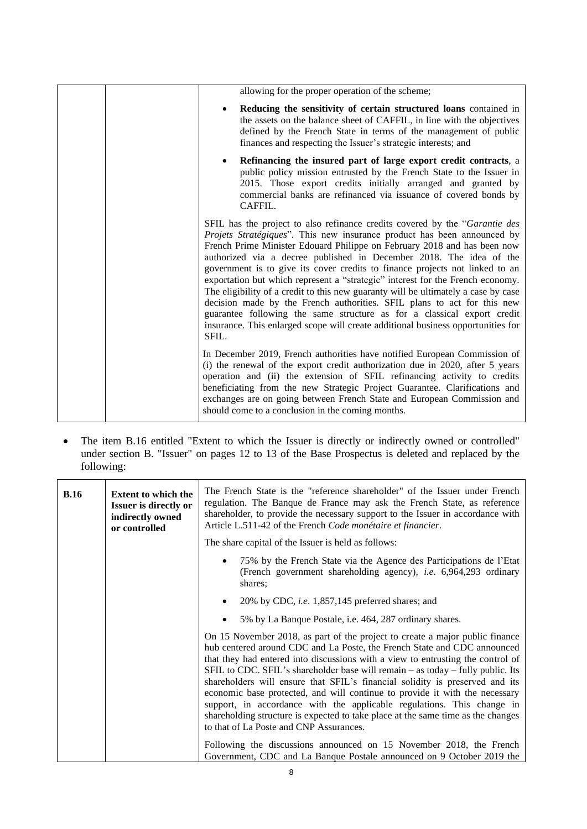| allowing for the proper operation of the scheme;                                                                                                                                                                                                                                                                                                                                                                                                                                                                                                                                                                                                                                                                                                                                                                     |
|----------------------------------------------------------------------------------------------------------------------------------------------------------------------------------------------------------------------------------------------------------------------------------------------------------------------------------------------------------------------------------------------------------------------------------------------------------------------------------------------------------------------------------------------------------------------------------------------------------------------------------------------------------------------------------------------------------------------------------------------------------------------------------------------------------------------|
| Reducing the sensitivity of certain structured loans contained in<br>the assets on the balance sheet of CAFFIL, in line with the objectives<br>defined by the French State in terms of the management of public<br>finances and respecting the Issuer's strategic interests; and                                                                                                                                                                                                                                                                                                                                                                                                                                                                                                                                     |
| Refinancing the insured part of large export credit contracts, a<br>public policy mission entrusted by the French State to the Issuer in<br>2015. Those export credits initially arranged and granted by<br>commercial banks are refinanced via issuance of covered bonds by<br>CAFFIL.                                                                                                                                                                                                                                                                                                                                                                                                                                                                                                                              |
| SFIL has the project to also refinance credits covered by the "Garantie des<br>Projets Stratégiques". This new insurance product has been announced by<br>French Prime Minister Edouard Philippe on February 2018 and has been now<br>authorized via a decree published in December 2018. The idea of the<br>government is to give its cover credits to finance projects not linked to an<br>exportation but which represent a "strategic" interest for the French economy.<br>The eligibility of a credit to this new guaranty will be ultimately a case by case<br>decision made by the French authorities. SFIL plans to act for this new<br>guarantee following the same structure as for a classical export credit<br>insurance. This enlarged scope will create additional business opportunities for<br>SFIL. |
| In December 2019, French authorities have notified European Commission of<br>(i) the renewal of the export credit authorization due in 2020, after 5 years<br>operation and (ii) the extension of SFIL refinancing activity to credits<br>beneficiating from the new Strategic Project Guarantee. Clarifications and<br>exchanges are on going between French State and European Commission and<br>should come to a conclusion in the coming months.                                                                                                                                                                                                                                                                                                                                                                 |

• The item B.16 entitled "Extent to which the Issuer is directly or indirectly owned or controlled" under section B. "Issuer" on pages 12 to 13 of the Base Prospectus is deleted and replaced by the following:

| <b>B.16</b> | <b>Extent to which the</b><br><b>Issuer is directly or</b><br>indirectly owned<br>or controlled                                                                                                                                                                                                                                                                                                                                                                                                                                                                                                                                                                                                        | The French State is the "reference shareholder" of the Issuer under French<br>regulation. The Banque de France may ask the French State, as reference<br>shareholder, to provide the necessary support to the Issuer in accordance with<br>Article L.511-42 of the French Code monétaire et financier.<br>The share capital of the Issuer is held as follows: |  |  |
|-------------|--------------------------------------------------------------------------------------------------------------------------------------------------------------------------------------------------------------------------------------------------------------------------------------------------------------------------------------------------------------------------------------------------------------------------------------------------------------------------------------------------------------------------------------------------------------------------------------------------------------------------------------------------------------------------------------------------------|---------------------------------------------------------------------------------------------------------------------------------------------------------------------------------------------------------------------------------------------------------------------------------------------------------------------------------------------------------------|--|--|
|             |                                                                                                                                                                                                                                                                                                                                                                                                                                                                                                                                                                                                                                                                                                        |                                                                                                                                                                                                                                                                                                                                                               |  |  |
|             |                                                                                                                                                                                                                                                                                                                                                                                                                                                                                                                                                                                                                                                                                                        | 75% by the French State via the Agence des Participations de l'Etat<br>(French government shareholding agency), <i>i.e.</i> 6,964,293 ordinary<br>shares;                                                                                                                                                                                                     |  |  |
|             |                                                                                                                                                                                                                                                                                                                                                                                                                                                                                                                                                                                                                                                                                                        | 20% by CDC, <i>i.e.</i> $1,857,145$ preferred shares; and                                                                                                                                                                                                                                                                                                     |  |  |
|             |                                                                                                                                                                                                                                                                                                                                                                                                                                                                                                                                                                                                                                                                                                        | 5% by La Banque Postale, i.e. 464, 287 ordinary shares.                                                                                                                                                                                                                                                                                                       |  |  |
|             | On 15 November 2018, as part of the project to create a major public finance<br>hub centered around CDC and La Poste, the French State and CDC announced<br>that they had entered into discussions with a view to entrusting the control of<br>SFIL to CDC. SFIL's shareholder base will remain – as today – fully public. Its<br>shareholders will ensure that SFIL's financial solidity is preserved and its<br>economic base protected, and will continue to provide it with the necessary<br>support, in accordance with the applicable regulations. This change in<br>shareholding structure is expected to take place at the same time as the changes<br>to that of La Poste and CNP Assurances. |                                                                                                                                                                                                                                                                                                                                                               |  |  |
|             |                                                                                                                                                                                                                                                                                                                                                                                                                                                                                                                                                                                                                                                                                                        | Following the discussions announced on 15 November 2018, the French<br>Government, CDC and La Banque Postale announced on 9 October 2019 the                                                                                                                                                                                                                  |  |  |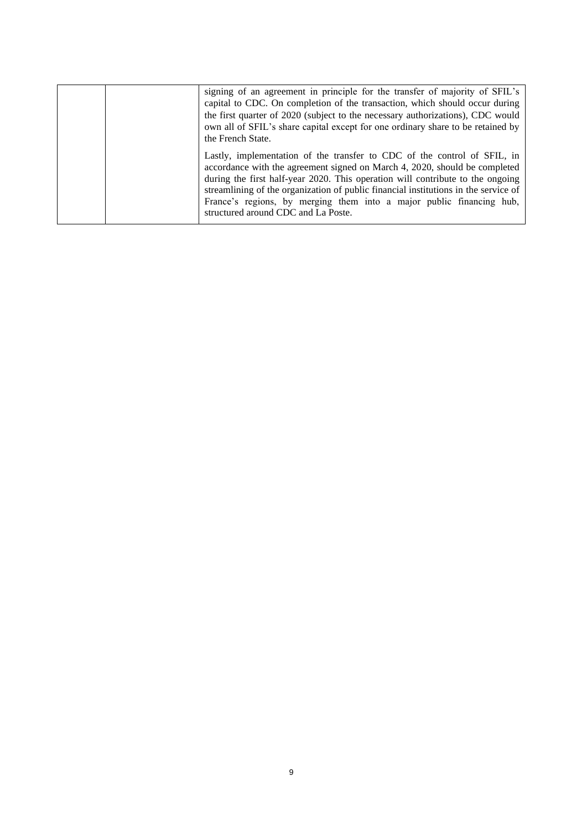| signing of an agreement in principle for the transfer of majority of SFIL's<br>capital to CDC. On completion of the transaction, which should occur during<br>the first quarter of 2020 (subject to the necessary authorizations), CDC would<br>own all of SFIL's share capital except for one ordinary share to be retained by<br>the French State.                                                                                           |
|------------------------------------------------------------------------------------------------------------------------------------------------------------------------------------------------------------------------------------------------------------------------------------------------------------------------------------------------------------------------------------------------------------------------------------------------|
| Lastly, implementation of the transfer to CDC of the control of SFIL, in<br>accordance with the agreement signed on March 4, 2020, should be completed<br>during the first half-year 2020. This operation will contribute to the ongoing<br>streamlining of the organization of public financial institutions in the service of<br>France's regions, by merging them into a major public financing hub,<br>structured around CDC and La Poste. |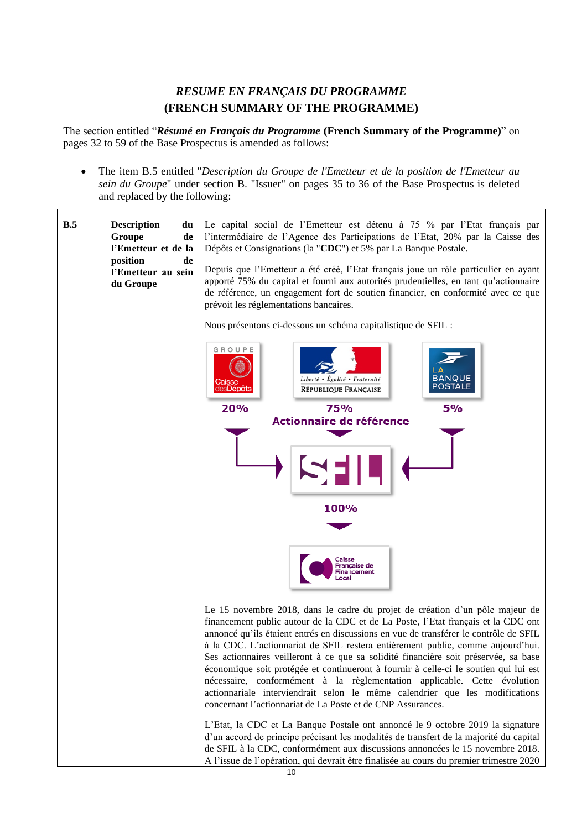# *RESUME EN FRANÇAIS DU PROGRAMME* **(FRENCH SUMMARY OF THE PROGRAMME)**

<span id="page-9-0"></span>The section entitled "*Résumé en Français du Programme* **(French Summary of the Programme)**" on pages 32 to 59 of the Base Prospectus is amended as follows:

• The item B.5 entitled "*Description du Groupe de l'Emetteur et de la position de l'Emetteur au sein du Groupe*" under section B. "Issuer" on pages 35 to 36 of the Base Prospectus is deleted and replaced by the following:

| B.5 | <b>Description</b><br>du<br>Groupe<br>de<br>l'Emetteur et de la<br>position<br>de<br>l'Emetteur au sein<br>du Groupe | Le capital social de l'Emetteur est détenu à 75 % par l'Etat français par<br>l'intermédiaire de l'Agence des Participations de l'Etat, 20% par la Caisse des<br>Dépôts et Consignations (la "CDC") et 5% par La Banque Postale.<br>Depuis que l'Emetteur a été créé, l'Etat français joue un rôle particulier en ayant<br>apporté 75% du capital et fourni aux autorités prudentielles, en tant qu'actionnaire<br>de référence, un engagement fort de soutien financier, en conformité avec ce que<br>prévoit les réglementations bancaires.                                                                                                                                                                                                           |  |  |  |
|-----|----------------------------------------------------------------------------------------------------------------------|--------------------------------------------------------------------------------------------------------------------------------------------------------------------------------------------------------------------------------------------------------------------------------------------------------------------------------------------------------------------------------------------------------------------------------------------------------------------------------------------------------------------------------------------------------------------------------------------------------------------------------------------------------------------------------------------------------------------------------------------------------|--|--|--|
|     |                                                                                                                      | Nous présentons ci-dessous un schéma capitalistique de SFIL :                                                                                                                                                                                                                                                                                                                                                                                                                                                                                                                                                                                                                                                                                          |  |  |  |
|     |                                                                                                                      | GROUPE<br><b>BANQUE</b><br>Liberté • Égalité • Fraternité<br><b>POSTALE</b><br>les <b>Dépôts</b><br><b>RÉPUBLIQUE FRANÇAISE</b><br>20%<br>5%<br>75%                                                                                                                                                                                                                                                                                                                                                                                                                                                                                                                                                                                                    |  |  |  |
|     |                                                                                                                      | Actionnaire de référence                                                                                                                                                                                                                                                                                                                                                                                                                                                                                                                                                                                                                                                                                                                               |  |  |  |
|     |                                                                                                                      |                                                                                                                                                                                                                                                                                                                                                                                                                                                                                                                                                                                                                                                                                                                                                        |  |  |  |
|     |                                                                                                                      | 100%                                                                                                                                                                                                                                                                                                                                                                                                                                                                                                                                                                                                                                                                                                                                                   |  |  |  |
|     |                                                                                                                      |                                                                                                                                                                                                                                                                                                                                                                                                                                                                                                                                                                                                                                                                                                                                                        |  |  |  |
|     |                                                                                                                      | Caisse<br>Française de<br><b>Financement</b>                                                                                                                                                                                                                                                                                                                                                                                                                                                                                                                                                                                                                                                                                                           |  |  |  |
|     |                                                                                                                      | Le 15 novembre 2018, dans le cadre du projet de création d'un pôle majeur de<br>financement public autour de la CDC et de La Poste, l'Etat français et la CDC ont<br>annoncé qu'ils étaient entrés en discussions en vue de transférer le contrôle de SFIL<br>à la CDC. L'actionnariat de SFIL restera entièrement public, comme aujourd'hui.<br>Ses actionnaires veilleront à ce que sa solidité financière soit préservée, sa base<br>économique soit protégée et continueront à fournir à celle-ci le soutien qui lui est<br>nécessaire, conformément à la règlementation applicable. Cette évolution<br>actionnariale interviendrait selon le même calendrier que les modifications<br>concernant l'actionnariat de La Poste et de CNP Assurances. |  |  |  |
|     |                                                                                                                      | L'Etat, la CDC et La Banque Postale ont annoncé le 9 octobre 2019 la signature<br>d'un accord de principe précisant les modalités de transfert de la majorité du capital<br>de SFIL à la CDC, conformément aux discussions annoncées le 15 novembre 2018.<br>A l'issue de l'opération, qui devrait être finalisée au cours du premier trimestre 2020                                                                                                                                                                                                                                                                                                                                                                                                   |  |  |  |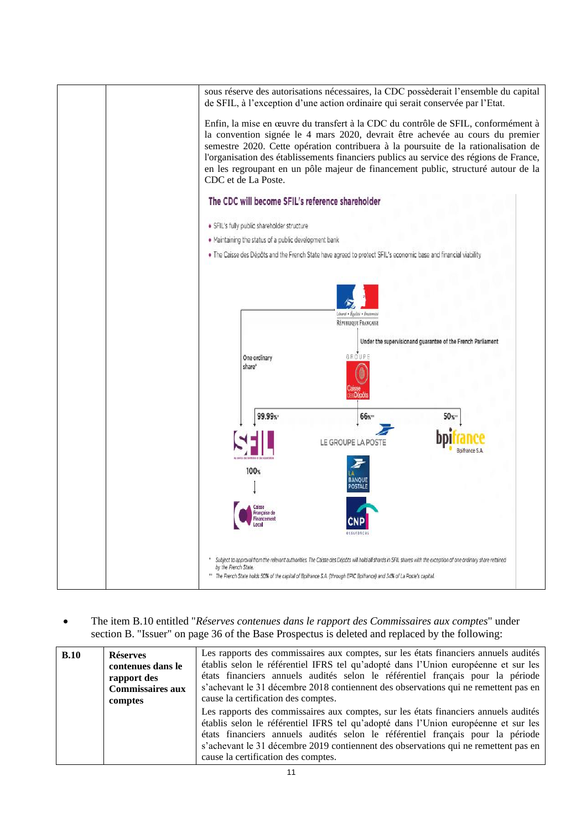

• The item B.10 entitled "*Réserves contenues dans le rapport des Commissaires aux comptes*" under section B. "Issuer" on page 36 of the Base Prospectus is deleted and replaced by the following:

| B.10 | <b>Réserves</b><br>contenues dans le<br>rapport des<br><b>Commissaires aux</b><br>comptes | Les rapports des commissaires aux comptes, sur les états financiers annuels audités<br>établis selon le référentiel IFRS tel qu'adopté dans l'Union européenne et sur les<br>états financiers annuels audités selon le référentiel français pour la période<br>s'achevant le 31 décembre 2018 contiennent des observations qui ne remettent pas en<br>cause la certification des comptes. |
|------|-------------------------------------------------------------------------------------------|-------------------------------------------------------------------------------------------------------------------------------------------------------------------------------------------------------------------------------------------------------------------------------------------------------------------------------------------------------------------------------------------|
|      |                                                                                           | Les rapports des commissaires aux comptes, sur les états financiers annuels audités<br>établis selon le référentiel IFRS tel qu'adopté dans l'Union européenne et sur les<br>états financiers annuels audités selon le référentiel français pour la période<br>s'achevant le 31 décembre 2019 contiennent des observations qui ne remettent pas en<br>cause la certification des comptes. |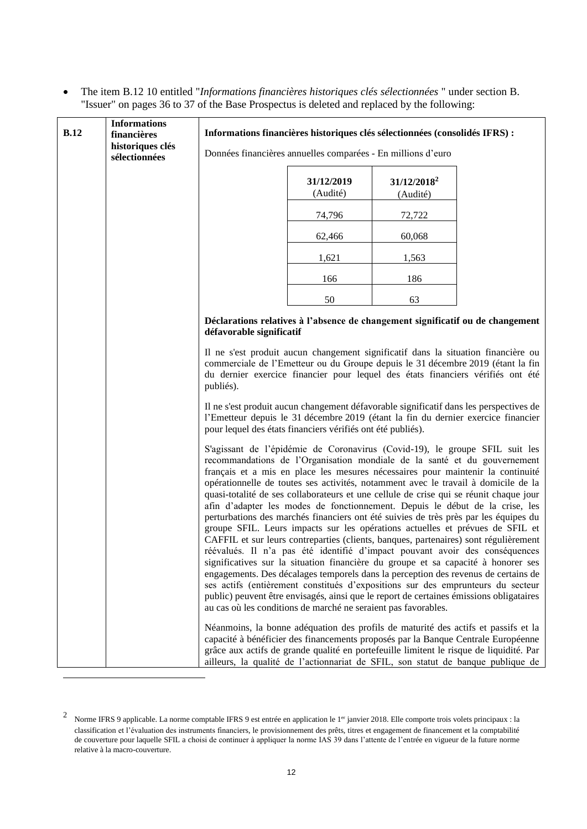• The item B.12 10 entitled "*Informations financières historiques clés sélectionnées* " under section B. "Issuer" on pages 36 to 37 of the Base Prospectus is deleted and replaced by the following:

| <b>B.12</b> | <b>Informations</b><br>financières | Informations financières historiques clés sélectionnées (consolidés IFRS) :                                                                                                                                                                                                                                                                                                                                                                                                                                                                                                                                                                                                                                                                                                                                                                                                                                                                                                                                                                                                                                                                                                                                                                                                            |                                                                                |        |  |  |
|-------------|------------------------------------|----------------------------------------------------------------------------------------------------------------------------------------------------------------------------------------------------------------------------------------------------------------------------------------------------------------------------------------------------------------------------------------------------------------------------------------------------------------------------------------------------------------------------------------------------------------------------------------------------------------------------------------------------------------------------------------------------------------------------------------------------------------------------------------------------------------------------------------------------------------------------------------------------------------------------------------------------------------------------------------------------------------------------------------------------------------------------------------------------------------------------------------------------------------------------------------------------------------------------------------------------------------------------------------|--------------------------------------------------------------------------------|--------|--|--|
|             | historiques clés<br>sélectionnées  | Données financières annuelles comparées - En millions d'euro                                                                                                                                                                                                                                                                                                                                                                                                                                                                                                                                                                                                                                                                                                                                                                                                                                                                                                                                                                                                                                                                                                                                                                                                                           |                                                                                |        |  |  |
|             |                                    | $31/12/2018^2$<br>31/12/2019<br>(Audité)<br>(Audité)                                                                                                                                                                                                                                                                                                                                                                                                                                                                                                                                                                                                                                                                                                                                                                                                                                                                                                                                                                                                                                                                                                                                                                                                                                   |                                                                                |        |  |  |
|             |                                    |                                                                                                                                                                                                                                                                                                                                                                                                                                                                                                                                                                                                                                                                                                                                                                                                                                                                                                                                                                                                                                                                                                                                                                                                                                                                                        | 74,796                                                                         | 72,722 |  |  |
|             |                                    |                                                                                                                                                                                                                                                                                                                                                                                                                                                                                                                                                                                                                                                                                                                                                                                                                                                                                                                                                                                                                                                                                                                                                                                                                                                                                        | 62,466                                                                         | 60,068 |  |  |
|             |                                    |                                                                                                                                                                                                                                                                                                                                                                                                                                                                                                                                                                                                                                                                                                                                                                                                                                                                                                                                                                                                                                                                                                                                                                                                                                                                                        | 1,621                                                                          | 1,563  |  |  |
|             |                                    |                                                                                                                                                                                                                                                                                                                                                                                                                                                                                                                                                                                                                                                                                                                                                                                                                                                                                                                                                                                                                                                                                                                                                                                                                                                                                        | 166                                                                            | 186    |  |  |
|             |                                    |                                                                                                                                                                                                                                                                                                                                                                                                                                                                                                                                                                                                                                                                                                                                                                                                                                                                                                                                                                                                                                                                                                                                                                                                                                                                                        | 50                                                                             | 63     |  |  |
|             |                                    | défavorable significatif                                                                                                                                                                                                                                                                                                                                                                                                                                                                                                                                                                                                                                                                                                                                                                                                                                                                                                                                                                                                                                                                                                                                                                                                                                                               | Déclarations relatives à l'absence de changement significatif ou de changement |        |  |  |
|             |                                    | Il ne s'est produit aucun changement significatif dans la situation financière ou<br>commerciale de l'Emetteur ou du Groupe depuis le 31 décembre 2019 (étant la fin<br>du dernier exercice financier pour lequel des états financiers vérifiés ont été<br>publiés).                                                                                                                                                                                                                                                                                                                                                                                                                                                                                                                                                                                                                                                                                                                                                                                                                                                                                                                                                                                                                   |                                                                                |        |  |  |
|             |                                    | Il ne s'est produit aucun changement défavorable significatif dans les perspectives de<br>l'Emetteur depuis le 31 décembre 2019 (étant la fin du dernier exercice financier<br>pour lequel des états financiers vérifiés ont été publiés).                                                                                                                                                                                                                                                                                                                                                                                                                                                                                                                                                                                                                                                                                                                                                                                                                                                                                                                                                                                                                                             |                                                                                |        |  |  |
|             |                                    | S'agissant de l'épidémie de Coronavirus (Covid-19), le groupe SFIL suit les<br>recommandations de l'Organisation mondiale de la santé et du gouvernement<br>français et a mis en place les mesures nécessaires pour maintenir la continuité<br>opérationnelle de toutes ses activités, notamment avec le travail à domicile de la<br>quasi-totalité de ses collaborateurs et une cellule de crise qui se réunit chaque jour<br>afin d'adapter les modes de fonctionnement. Depuis le début de la crise, les<br>perturbations des marchés financiers ont été suivies de très près par les équipes du<br>groupe SFIL. Leurs impacts sur les opérations actuelles et prévues de SFIL et<br>CAFFIL et sur leurs contreparties (clients, banques, partenaires) sont régulièrement<br>réévalués. Il n'a pas été identifié d'impact pouvant avoir des conséquences<br>significatives sur la situation financière du groupe et sa capacité à honorer ses<br>engagements. Des décalages temporels dans la perception des revenus de certains de<br>ses actifs (entièrement constitués d'expositions sur des emprunteurs du secteur<br>public) peuvent être envisagés, ainsi que le report de certaines émissions obligataires<br>au cas où les conditions de marché ne seraient pas favorables. |                                                                                |        |  |  |
|             |                                    | Néanmoins, la bonne adéquation des profils de maturité des actifs et passifs et la<br>capacité à bénéficier des financements proposés par la Banque Centrale Européenne<br>grâce aux actifs de grande qualité en portefeuille limitent le risque de liquidité. Par<br>ailleurs, la qualité de l'actionnariat de SFIL, son statut de banque publique de                                                                                                                                                                                                                                                                                                                                                                                                                                                                                                                                                                                                                                                                                                                                                                                                                                                                                                                                 |                                                                                |        |  |  |

<sup>&</sup>lt;sup>2</sup> Norme IFRS 9 applicable. La norme comptable IFRS 9 est entrée en application le 1<sup>er</sup> janvier 2018. Elle comporte trois volets principaux : la classification et l'évaluation des instruments financiers, le provisionnement des prêts, titres et engagement de financement et la comptabilité de couverture pour laquelle SFIL a choisi de continuer à appliquer la norme IAS 39 dans l'attente de l'entrée en vigueur de la future norme relative à la macro-couverture.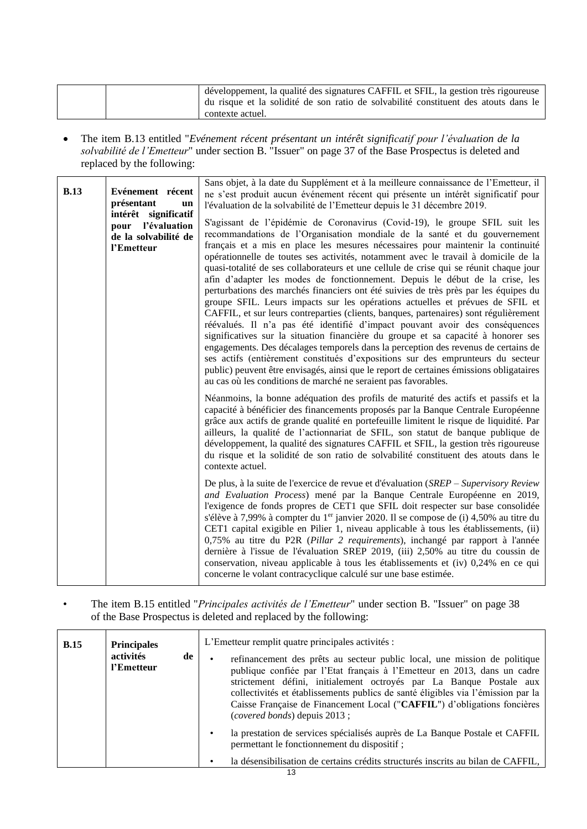|  | développement, la qualité des signatures CAFFIL et SFIL, la gestion très rigoureuse |
|--|-------------------------------------------------------------------------------------|
|  | du risque et la solidité de son ratio de solvabilité constituent des atouts dans le |
|  | contexte actuel.                                                                    |

• The item B.13 entitled "*Evénement récent présentant un intérêt significatif pour l'évaluation de la solvabilité de l'Emetteur*" under section B. "Issuer" on page 37 of the Base Prospectus is deleted and replaced by the following:

|             | Sans objet, à la date du Supplément et à la meilleure connaissance de l'Emetteur, il |                                                                                                                                                                                                                                                                                                                                                                                                                                                                                                                                                                                                                                                                                                                                                                                                                                                                                                                                                                                                                                                                                                                                                                                                                                                                                         |  |  |  |
|-------------|--------------------------------------------------------------------------------------|-----------------------------------------------------------------------------------------------------------------------------------------------------------------------------------------------------------------------------------------------------------------------------------------------------------------------------------------------------------------------------------------------------------------------------------------------------------------------------------------------------------------------------------------------------------------------------------------------------------------------------------------------------------------------------------------------------------------------------------------------------------------------------------------------------------------------------------------------------------------------------------------------------------------------------------------------------------------------------------------------------------------------------------------------------------------------------------------------------------------------------------------------------------------------------------------------------------------------------------------------------------------------------------------|--|--|--|
| <b>B.13</b> | Evénement récent<br>présentant<br>un                                                 | ne s'est produit aucun événement récent qui présente un intérêt significatif pour<br>l'évaluation de la solvabilité de l'Emetteur depuis le 31 décembre 2019.                                                                                                                                                                                                                                                                                                                                                                                                                                                                                                                                                                                                                                                                                                                                                                                                                                                                                                                                                                                                                                                                                                                           |  |  |  |
|             | intérêt significatif<br>pour l'évaluation<br>de la solvabilité de<br>l'Emetteur      | S'agissant de l'épidémie de Coronavirus (Covid-19), le groupe SFIL suit les<br>recommandations de l'Organisation mondiale de la santé et du gouvernement<br>français et a mis en place les mesures nécessaires pour maintenir la continuité<br>opérationnelle de toutes ses activités, notamment avec le travail à domicile de la<br>quasi-totalité de ses collaborateurs et une cellule de crise qui se réunit chaque jour<br>afin d'adapter les modes de fonctionnement. Depuis le début de la crise, les<br>perturbations des marchés financiers ont été suivies de très près par les équipes du<br>groupe SFIL. Leurs impacts sur les opérations actuelles et prévues de SFIL et<br>CAFFIL, et sur leurs contreparties (clients, banques, partenaires) sont régulièrement<br>réévalués. Il n'a pas été identifié d'impact pouvant avoir des conséquences<br>significatives sur la situation financière du groupe et sa capacité à honorer ses<br>engagements. Des décalages temporels dans la perception des revenus de certains de<br>ses actifs (entièrement constitués d'expositions sur des emprunteurs du secteur<br>public) peuvent être envisagés, ainsi que le report de certaines émissions obligataires<br>au cas où les conditions de marché ne seraient pas favorables. |  |  |  |
|             |                                                                                      | Néanmoins, la bonne adéquation des profils de maturité des actifs et passifs et la<br>capacité à bénéficier des financements proposés par la Banque Centrale Européenne<br>grâce aux actifs de grande qualité en portefeuille limitent le risque de liquidité. Par<br>ailleurs, la qualité de l'actionnariat de SFIL, son statut de banque publique de<br>développement, la qualité des signatures CAFFIL et SFIL, la gestion très rigoureuse<br>du risque et la solidité de son ratio de solvabilité constituent des atouts dans le<br>contexte actuel.                                                                                                                                                                                                                                                                                                                                                                                                                                                                                                                                                                                                                                                                                                                                |  |  |  |
|             |                                                                                      | De plus, à la suite de l'exercice de revue et d'évaluation $(SREF-Supervisory Review$<br>and Evaluation Process) mené par la Banque Centrale Européenne en 2019,<br>l'exigence de fonds propres de CET1 que SFIL doit respecter sur base consolidée<br>s'élève à 7,99% à compter du 1 <sup>er</sup> janvier 2020. Il se compose de (i) 4,50% au titre du<br>CET1 capital exigible en Pilier 1, niveau applicable à tous les établissements, (ii)<br>0,75% au titre du P2R (Pillar 2 requirements), inchangé par rapport à l'année<br>dernière à l'issue de l'évaluation SREP 2019, (iii) 2,50% au titre du coussin de<br>conservation, niveau applicable à tous les établissements et (iv) 0,24% en ce qui<br>concerne le volant contracyclique calculé sur une base estimée.                                                                                                                                                                                                                                                                                                                                                                                                                                                                                                           |  |  |  |

# • The item B.15 entitled "*Principales activités de l'Emetteur*" under section B. "Issuer" on page 38 of the Base Prospectus is deleted and replaced by the following:

| <b>B.15</b> | <b>Principales</b><br>activités<br>de<br>l'Emetteur | L'Emetteur remplit quatre principales activités :<br>refinancement des prêts au secteur public local, une mission de politique<br>publique confiée par l'Etat français à l'Emetteur en 2013, dans un cadre<br>strictement défini, initialement octroyés par La Banque Postale aux<br>collectivités et établissements publics de santé éligibles via l'émission par la<br>Caisse Française de Financement Local ("CAFFIL") d'obligations foncières<br>( <i>covered bonds</i> ) depuis 2013; |
|-------------|-----------------------------------------------------|--------------------------------------------------------------------------------------------------------------------------------------------------------------------------------------------------------------------------------------------------------------------------------------------------------------------------------------------------------------------------------------------------------------------------------------------------------------------------------------------|
|             |                                                     | la prestation de services spécialisés auprès de La Banque Postale et CAFFIL<br>permettant le fonctionnement du dispositif ;<br>la désensibilisation de certains crédits structurés inscrits au bilan de CAFFIL,                                                                                                                                                                                                                                                                            |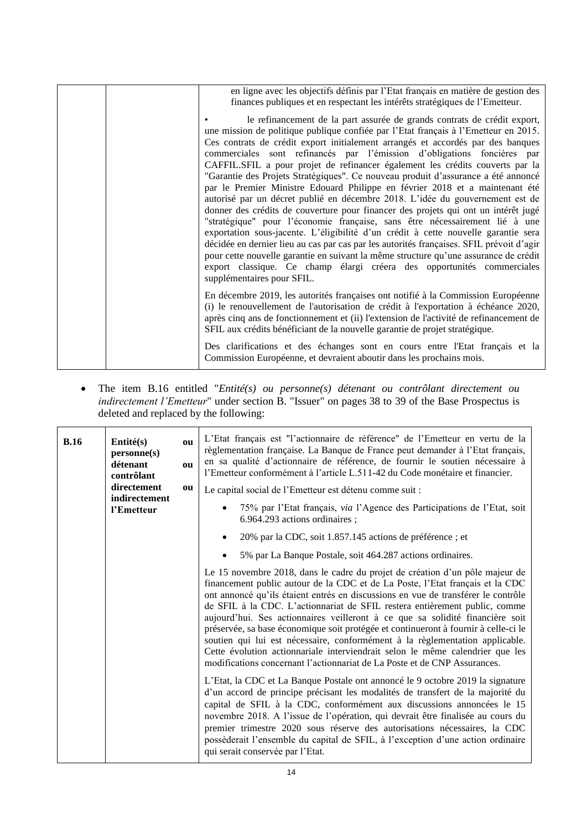|  | en ligne avec les objectifs définis par l'Etat français en matière de gestion des<br>finances publiques et en respectant les intérêts stratégiques de l'Emetteur.                                                                                                                                                                                                                                                                                                                                                                                                                                                                                                                                                                                                                                                                                                                                                                                                                                                                                                                                                                                                                                                           |
|--|-----------------------------------------------------------------------------------------------------------------------------------------------------------------------------------------------------------------------------------------------------------------------------------------------------------------------------------------------------------------------------------------------------------------------------------------------------------------------------------------------------------------------------------------------------------------------------------------------------------------------------------------------------------------------------------------------------------------------------------------------------------------------------------------------------------------------------------------------------------------------------------------------------------------------------------------------------------------------------------------------------------------------------------------------------------------------------------------------------------------------------------------------------------------------------------------------------------------------------|
|  | le refinancement de la part assurée de grands contrats de crédit export,<br>une mission de politique publique confiée par l'Etat français à l'Emetteur en 2015.<br>Ces contrats de crédit export initialement arrangés et accordés par des banques<br>commerciales sont refinancés par l'émission d'obligations foncières par<br>CAFFIL.SFIL a pour projet de refinancer également les crédits couverts par la<br>"Garantie des Projets Stratégiques". Ce nouveau produit d'assurance a été annoncé<br>par le Premier Ministre Edouard Philippe en février 2018 et a maintenant été<br>autorisé par un décret publié en décembre 2018. L'idée du gouvernement est de<br>donner des crédits de couverture pour financer des projets qui ont un intérêt jugé<br>"stratégique" pour l'économie française, sans être nécessairement lié à une<br>exportation sous-jacente. L'éligibilité d'un crédit à cette nouvelle garantie sera<br>décidée en dernier lieu au cas par cas par les autorités françaises. SFIL prévoit d'agir<br>pour cette nouvelle garantie en suivant la même structure qu'une assurance de crédit<br>export classique. Ce champ élargi créera des opportunités commerciales<br>supplémentaires pour SFIL. |
|  | En décembre 2019, les autorités françaises ont notifié à la Commission Européenne<br>(i) le renouvellement de l'autorisation de crédit à l'exportation à échéance 2020,<br>après cinq ans de fonctionnement et (ii) l'extension de l'activité de refinancement de<br>SFIL aux crédits bénéficiant de la nouvelle garantie de projet stratégique.                                                                                                                                                                                                                                                                                                                                                                                                                                                                                                                                                                                                                                                                                                                                                                                                                                                                            |
|  | Des clarifications et des échanges sont en cours entre l'Etat français et la<br>Commission Européenne, et devraient aboutir dans les prochains mois.                                                                                                                                                                                                                                                                                                                                                                                                                                                                                                                                                                                                                                                                                                                                                                                                                                                                                                                                                                                                                                                                        |

• The item B.16 entitled "*Entité(s) ou personne(s) détenant ou contrôlant directement ou indirectement l'Emetteur*" under section B. "Issuer" on pages 38 to 39 of the Base Prospectus is deleted and replaced by the following:

| B.16 | Entité(s)<br>personne(s)<br>détenant<br>contrôlant<br>directement<br>indirectement<br>l'Emetteur | ou<br>ou<br>ou | L'Etat français est "l'actionnaire de référence" de l'Emetteur en vertu de la<br>règlementation française. La Banque de France peut demander à l'Etat français,<br>en sa qualité d'actionnaire de référence, de fournir le soutien nécessaire à<br>l'Emetteur conformément à l'article L.511-42 du Code monétaire et financier.<br>Le capital social de l'Emetteur est détenu comme suit :                                                                                                                                                                                                                                                                                                                                                             |
|------|--------------------------------------------------------------------------------------------------|----------------|--------------------------------------------------------------------------------------------------------------------------------------------------------------------------------------------------------------------------------------------------------------------------------------------------------------------------------------------------------------------------------------------------------------------------------------------------------------------------------------------------------------------------------------------------------------------------------------------------------------------------------------------------------------------------------------------------------------------------------------------------------|
|      |                                                                                                  |                | 75% par l'Etat français, via l'Agence des Participations de l'Etat, soit<br>$\bullet$<br>6.964.293 actions ordinaires;                                                                                                                                                                                                                                                                                                                                                                                                                                                                                                                                                                                                                                 |
|      |                                                                                                  |                | 20% par la CDC, soit 1.857.145 actions de préférence ; et<br>$\bullet$                                                                                                                                                                                                                                                                                                                                                                                                                                                                                                                                                                                                                                                                                 |
|      |                                                                                                  |                | 5% par La Banque Postale, soit 464.287 actions ordinaires.<br>$\bullet$                                                                                                                                                                                                                                                                                                                                                                                                                                                                                                                                                                                                                                                                                |
|      |                                                                                                  |                | Le 15 novembre 2018, dans le cadre du projet de création d'un pôle majeur de<br>financement public autour de la CDC et de La Poste, l'Etat français et la CDC<br>ont annoncé qu'ils étaient entrés en discussions en vue de transférer le contrôle<br>de SFIL à la CDC. L'actionnariat de SFIL restera entièrement public, comme<br>aujourd'hui. Ses actionnaires veilleront à ce que sa solidité financière soit<br>préservée, sa base économique soit protégée et continueront à fournir à celle-ci le<br>soutien qui lui est nécessaire, conformément à la règlementation applicable.<br>Cette évolution actionnariale interviendrait selon le même calendrier que les<br>modifications concernant l'actionnariat de La Poste et de CNP Assurances. |
|      |                                                                                                  |                | L'Etat, la CDC et La Banque Postale ont annoncé le 9 octobre 2019 la signature<br>d'un accord de principe précisant les modalités de transfert de la majorité du<br>capital de SFIL à la CDC, conformément aux discussions annoncées le 15<br>novembre 2018. A l'issue de l'opération, qui devrait être finalisée au cours du<br>premier trimestre 2020 sous réserve des autorisations nécessaires, la CDC<br>possèderait l'ensemble du capital de SFIL, à l'exception d'une action ordinaire<br>qui serait conservée par l'Etat.                                                                                                                                                                                                                      |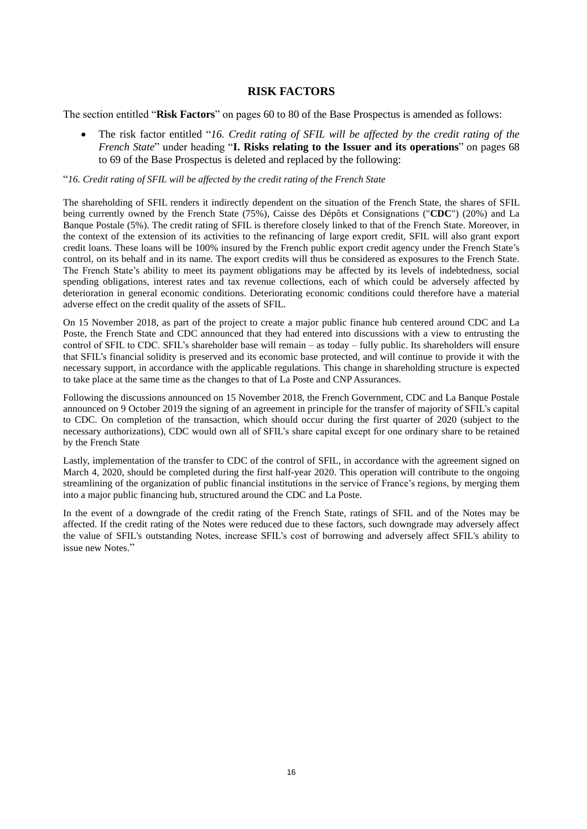## **RISK FACTORS**

<span id="page-15-0"></span>The section entitled "**Risk Factors**" on pages 60 to 80 of the Base Prospectus is amended as follows:

• The risk factor entitled "*16. Credit rating of SFIL will be affected by the credit rating of the French State*" under heading "**I. Risks relating to the Issuer and its operations**" on pages 68 to 69 of the Base Prospectus is deleted and replaced by the following:

## "*16. Credit rating of SFIL will be affected by the credit rating of the French State*

The shareholding of SFIL renders it indirectly dependent on the situation of the French State, the shares of SFIL being currently owned by the French State (75%), Caisse des Dépôts et Consignations ("**CDC**") (20%) and La Banque Postale (5%). The credit rating of SFIL is therefore closely linked to that of the French State. Moreover, in the context of the extension of its activities to the refinancing of large export credit, SFIL will also grant export credit loans. These loans will be 100% insured by the French public export credit agency under the French State's control, on its behalf and in its name. The export credits will thus be considered as exposures to the French State. The French State's ability to meet its payment obligations may be affected by its levels of indebtedness, social spending obligations, interest rates and tax revenue collections, each of which could be adversely affected by deterioration in general economic conditions. Deteriorating economic conditions could therefore have a material adverse effect on the credit quality of the assets of SFIL.

On 15 November 2018, as part of the project to create a major public finance hub centered around CDC and La Poste, the French State and CDC announced that they had entered into discussions with a view to entrusting the control of SFIL to CDC. SFIL's shareholder base will remain – as today – fully public. Its shareholders will ensure that SFIL's financial solidity is preserved and its economic base protected, and will continue to provide it with the necessary support, in accordance with the applicable regulations. This change in shareholding structure is expected to take place at the same time as the changes to that of La Poste and CNP Assurances.

Following the discussions announced on 15 November 2018, the French Government, CDC and La Banque Postale announced on 9 October 2019 the signing of an agreement in principle for the transfer of majority of SFIL's capital to CDC. On completion of the transaction, which should occur during the first quarter of 2020 (subject to the necessary authorizations), CDC would own all of SFIL's share capital except for one ordinary share to be retained by the French State

Lastly, implementation of the transfer to CDC of the control of SFIL, in accordance with the agreement signed on March 4, 2020, should be completed during the first half-year 2020. This operation will contribute to the ongoing streamlining of the organization of public financial institutions in the service of France's regions, by merging them into a major public financing hub, structured around the CDC and La Poste.

In the event of a downgrade of the credit rating of the French State, ratings of SFIL and of the Notes may be affected. If the credit rating of the Notes were reduced due to these factors, such downgrade may adversely affect the value of SFIL's outstanding Notes, increase SFIL's cost of borrowing and adversely affect SFIL's ability to issue new Notes."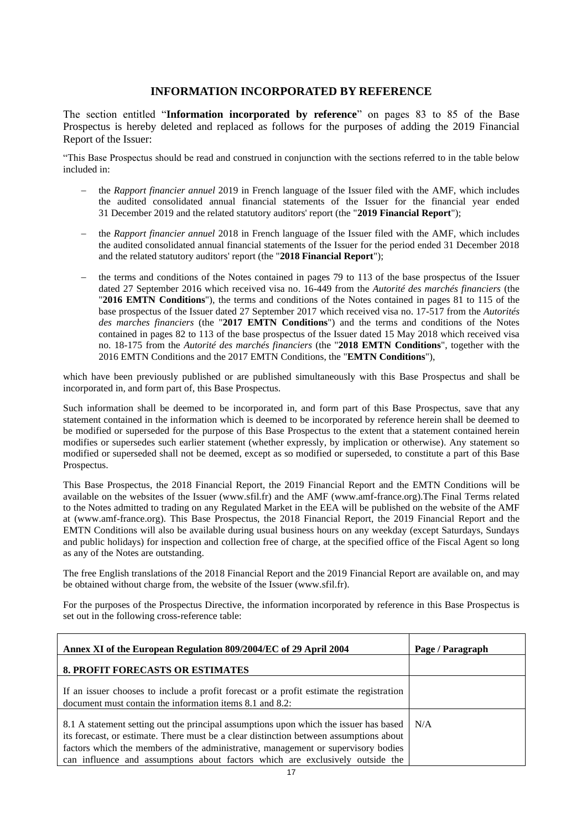## **INFORMATION INCORPORATED BY REFERENCE**

<span id="page-16-0"></span>The section entitled "**Information incorporated by reference**" on pages 83 to 85 of the Base Prospectus is hereby deleted and replaced as follows for the purposes of adding the 2019 Financial Report of the Issuer:

"This Base Prospectus should be read and construed in conjunction with the sections referred to in the table below included in:

- − the *Rapport financier annuel* 2019 in French language of the Issuer filed with the AMF, which includes the audited consolidated annual financial statements of the Issuer for the financial year ended 31 December 2019 and the related statutory auditors' report (the "**2019 Financial Report**");
- − the *Rapport financier annuel* 2018 in French language of the Issuer filed with the AMF, which includes the audited consolidated annual financial statements of the Issuer for the period ended 31 December 2018 and the related statutory auditors' report (the "**2018 Financial Report**");
- the terms and conditions of the Notes contained in pages 79 to 113 of the base prospectus of the Issuer dated 27 September 2016 which received visa no. 16-449 from the *Autorité des marchés financiers* (the "**2016 EMTN Conditions**"), the terms and conditions of the Notes contained in pages 81 to 115 of the base prospectus of the Issuer dated 27 September 2017 which received visa no. 17-517 from the *Autorités des marches financiers* (the "**2017 EMTN Conditions**") and the terms and conditions of the Notes contained in pages 82 to 113 of the base prospectus of the Issuer dated 15 May 2018 which received visa no. 18-175 from the *Autorité des marchés financiers* (the "**2018 EMTN Conditions**", together with the 2016 EMTN Conditions and the 2017 EMTN Conditions, the "**EMTN Conditions**"),

which have been previously published or are published simultaneously with this Base Prospectus and shall be incorporated in, and form part of, this Base Prospectus.

Such information shall be deemed to be incorporated in, and form part of this Base Prospectus, save that any statement contained in the information which is deemed to be incorporated by reference herein shall be deemed to be modified or superseded for the purpose of this Base Prospectus to the extent that a statement contained herein modifies or supersedes such earlier statement (whether expressly, by implication or otherwise). Any statement so modified or superseded shall not be deemed, except as so modified or superseded, to constitute a part of this Base Prospectus.

This Base Prospectus, the 2018 Financial Report, the 2019 Financial Report and the EMTN Conditions will be available on the websites of the Issuer (www.sfil.fr) and the AMF (www.amf-france.org).The Final Terms related to the Notes admitted to trading on any Regulated Market in the EEA will be published on the website of the AMF at (www.amf-france.org). This Base Prospectus, the 2018 Financial Report, the 2019 Financial Report and the EMTN Conditions will also be available during usual business hours on any weekday (except Saturdays, Sundays and public holidays) for inspection and collection free of charge, at the specified office of the Fiscal Agent so long as any of the Notes are outstanding.

The free English translations of the 2018 Financial Report and the 2019 Financial Report are available on, and may be obtained without charge from, the website of the Issuer (www.sfil.fr).

For the purposes of the Prospectus Directive, the information incorporated by reference in this Base Prospectus is set out in the following cross-reference table:

| Annex XI of the European Regulation 809/2004/EC of 29 April 2004                                                                                                                                                                                                                                                                                      | Page / Paragraph |
|-------------------------------------------------------------------------------------------------------------------------------------------------------------------------------------------------------------------------------------------------------------------------------------------------------------------------------------------------------|------------------|
| <b>8. PROFIT FORECASTS OR ESTIMATES</b>                                                                                                                                                                                                                                                                                                               |                  |
| If an issuer chooses to include a profit forecast or a profit estimate the registration<br>document must contain the information items 8.1 and 8.2:                                                                                                                                                                                                   |                  |
| 8.1 A statement setting out the principal assumptions upon which the issuer has based<br>its forecast, or estimate. There must be a clear distinction between assumptions about<br>factors which the members of the administrative, management or supervisory bodies<br>can influence and assumptions about factors which are exclusively outside the | N/A              |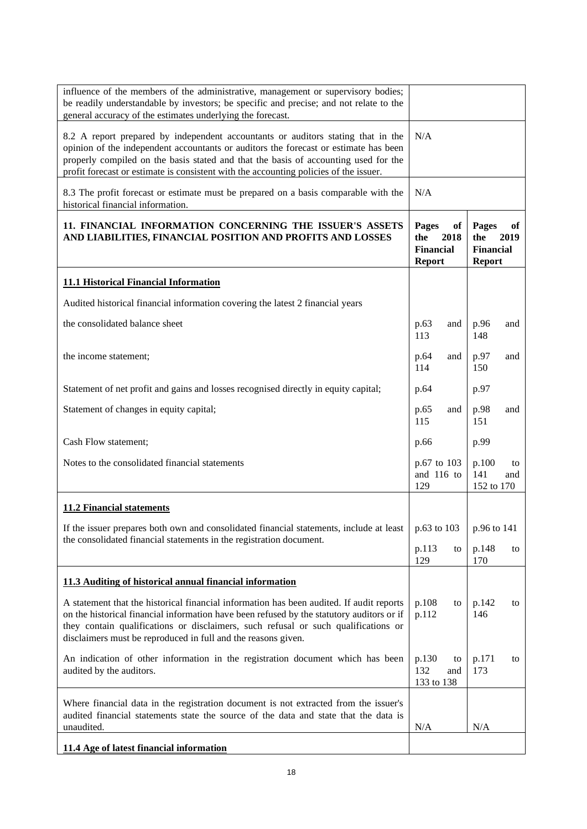| influence of the members of the administrative, management or supervisory bodies;<br>be readily understandable by investors; be specific and precise; and not relate to the<br>general accuracy of the estimates underlying the forecast.                                                                                                                |                                                                 |                                                                 |  |
|----------------------------------------------------------------------------------------------------------------------------------------------------------------------------------------------------------------------------------------------------------------------------------------------------------------------------------------------------------|-----------------------------------------------------------------|-----------------------------------------------------------------|--|
| 8.2 A report prepared by independent accountants or auditors stating that in the<br>opinion of the independent accountants or auditors the forecast or estimate has been<br>properly compiled on the basis stated and that the basis of accounting used for the<br>profit forecast or estimate is consistent with the accounting policies of the issuer. | N/A                                                             |                                                                 |  |
| 8.3 The profit forecast or estimate must be prepared on a basis comparable with the<br>historical financial information.                                                                                                                                                                                                                                 | N/A                                                             |                                                                 |  |
| 11. FINANCIAL INFORMATION CONCERNING THE ISSUER'S ASSETS<br>AND LIABILITIES, FINANCIAL POSITION AND PROFITS AND LOSSES                                                                                                                                                                                                                                   | Pages<br>of<br>the<br>2018<br><b>Financial</b><br><b>Report</b> | Pages<br>of<br>the<br>2019<br><b>Financial</b><br><b>Report</b> |  |
| 11.1 Historical Financial Information                                                                                                                                                                                                                                                                                                                    |                                                                 |                                                                 |  |
| Audited historical financial information covering the latest 2 financial years                                                                                                                                                                                                                                                                           |                                                                 |                                                                 |  |
| the consolidated balance sheet                                                                                                                                                                                                                                                                                                                           | p.63<br>and<br>113                                              | p.96<br>and<br>148                                              |  |
| the income statement;                                                                                                                                                                                                                                                                                                                                    | p.64<br>and<br>114                                              | p.97<br>and<br>150                                              |  |
| Statement of net profit and gains and losses recognised directly in equity capital;                                                                                                                                                                                                                                                                      | p.64                                                            | p.97                                                            |  |
| Statement of changes in equity capital;                                                                                                                                                                                                                                                                                                                  | p.65<br>and<br>115                                              | p.98<br>and<br>151                                              |  |
| Cash Flow statement;                                                                                                                                                                                                                                                                                                                                     | p.66                                                            | p.99                                                            |  |
| Notes to the consolidated financial statements                                                                                                                                                                                                                                                                                                           | p.67 to 103<br>and 116 to<br>129                                | p.100<br>to<br>141<br>and<br>152 to 170                         |  |
| <b>11.2 Financial statements</b>                                                                                                                                                                                                                                                                                                                         |                                                                 |                                                                 |  |
| If the issuer prepares both own and consolidated financial statements, include at least<br>the consolidated financial statements in the registration document.                                                                                                                                                                                           | $p.63$ to 103                                                   | p.96 to 141                                                     |  |
|                                                                                                                                                                                                                                                                                                                                                          | p.113<br>to<br>129                                              | p.148<br>to<br>170                                              |  |
| 11.3 Auditing of historical annual financial information                                                                                                                                                                                                                                                                                                 |                                                                 |                                                                 |  |
| A statement that the historical financial information has been audited. If audit reports<br>on the historical financial information have been refused by the statutory auditors or if<br>they contain qualifications or disclaimers, such refusal or such qualifications or<br>disclaimers must be reproduced in full and the reasons given.             | p.108<br>to<br>p.112                                            | p.142<br>to<br>146                                              |  |
| An indication of other information in the registration document which has been<br>audited by the auditors.                                                                                                                                                                                                                                               | p.130<br>to<br>132<br>and<br>133 to 138                         | p.171<br>to<br>173                                              |  |
| Where financial data in the registration document is not extracted from the issuer's<br>audited financial statements state the source of the data and state that the data is<br>unaudited.                                                                                                                                                               | N/A                                                             | N/A                                                             |  |
| 11.4 Age of latest financial information                                                                                                                                                                                                                                                                                                                 |                                                                 |                                                                 |  |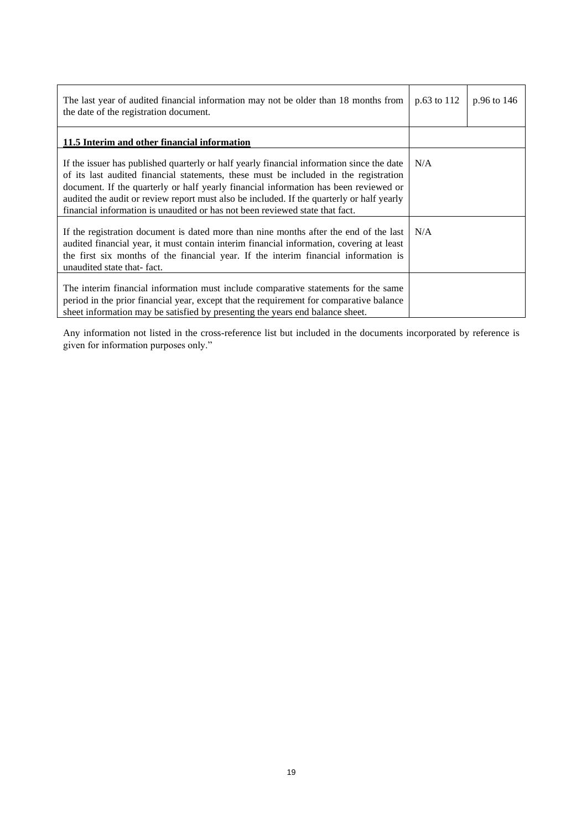| The last year of audited financial information may not be older than 18 months from<br>the date of the registration document.                                                                                                                                                                                                                                                                                                                          | p.63 to 112 | $p.96$ to 146 |
|--------------------------------------------------------------------------------------------------------------------------------------------------------------------------------------------------------------------------------------------------------------------------------------------------------------------------------------------------------------------------------------------------------------------------------------------------------|-------------|---------------|
| 11.5 Interim and other financial information                                                                                                                                                                                                                                                                                                                                                                                                           |             |               |
| If the issuer has published quarterly or half yearly financial information since the date<br>of its last audited financial statements, these must be included in the registration<br>document. If the quarterly or half yearly financial information has been reviewed or<br>audited the audit or review report must also be included. If the quarterly or half yearly<br>financial information is unaudited or has not been reviewed state that fact. | N/A         |               |
| If the registration document is dated more than nine months after the end of the last<br>audited financial year, it must contain interim financial information, covering at least<br>the first six months of the financial year. If the interim financial information is<br>unaudited state that-fact.                                                                                                                                                 | N/A         |               |
| The interim financial information must include comparative statements for the same<br>period in the prior financial year, except that the requirement for comparative balance<br>sheet information may be satisfied by presenting the years end balance sheet.                                                                                                                                                                                         |             |               |

Any information not listed in the cross-reference list but included in the documents incorporated by reference is given for information purposes only."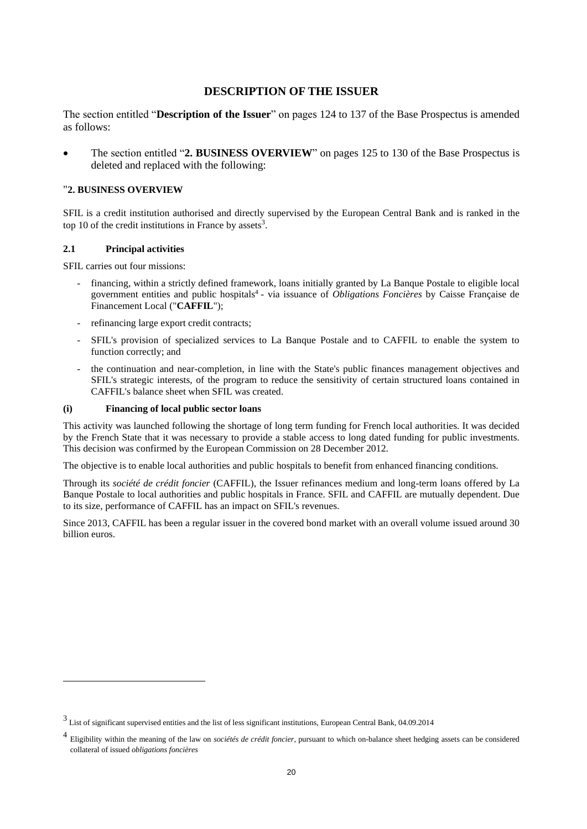## **DESCRIPTION OF THE ISSUER**

<span id="page-19-0"></span>The section entitled "**Description of the Issuer**" on pages 124 to 137 of the Base Prospectus is amended as follows:

• The section entitled "**2. BUSINESS OVERVIEW**" on pages 125 to 130 of the Base Prospectus is deleted and replaced with the following:

#### "**2. BUSINESS OVERVIEW**

SFIL is a credit institution authorised and directly supervised by the European Central Bank and is ranked in the top 10 of the credit institutions in France by assets<sup>3</sup>.

#### **2.1 Principal activities**

SFIL carries out four missions:

- financing, within a strictly defined framework, loans initially granted by La Banque Postale to eligible local government entities and public hospitals<sup>4</sup> - via issuance of *Obligations Foncières* by Caisse Française de Financement Local ("**CAFFIL**");
- refinancing large export credit contracts;
- SFIL's provision of specialized services to La Banque Postale and to CAFFIL to enable the system to function correctly; and
- the continuation and near-completion, in line with the State's public finances management objectives and SFIL's strategic interests, of the program to reduce the sensitivity of certain structured loans contained in CAFFIL's balance sheet when SFIL was created.

#### **(i) Financing of local public sector loans**

This activity was launched following the shortage of long term funding for French local authorities. It was decided by the French State that it was necessary to provide a stable access to long dated funding for public investments. This decision was confirmed by the European Commission on 28 December 2012.

The objective is to enable local authorities and public hospitals to benefit from enhanced financing conditions.

Through its *société de crédit foncier* (CAFFIL), the Issuer refinances medium and long-term loans offered by La Banque Postale to local authorities and public hospitals in France. SFIL and CAFFIL are mutually dependent. Due to its size, performance of CAFFIL has an impact on SFIL's revenues.

Since 2013, CAFFIL has been a regular issuer in the covered bond market with an overall volume issued around 30 billion euros.

<sup>&</sup>lt;sup>3</sup> List of significant supervised entities and the list of less significant institutions, European Central Bank, 04.09.2014

<sup>4</sup> Eligibility within the meaning of the law on *sociétés de crédit foncier*, pursuant to which on-balance sheet hedging assets can be considered collateral of issued *obligations foncières*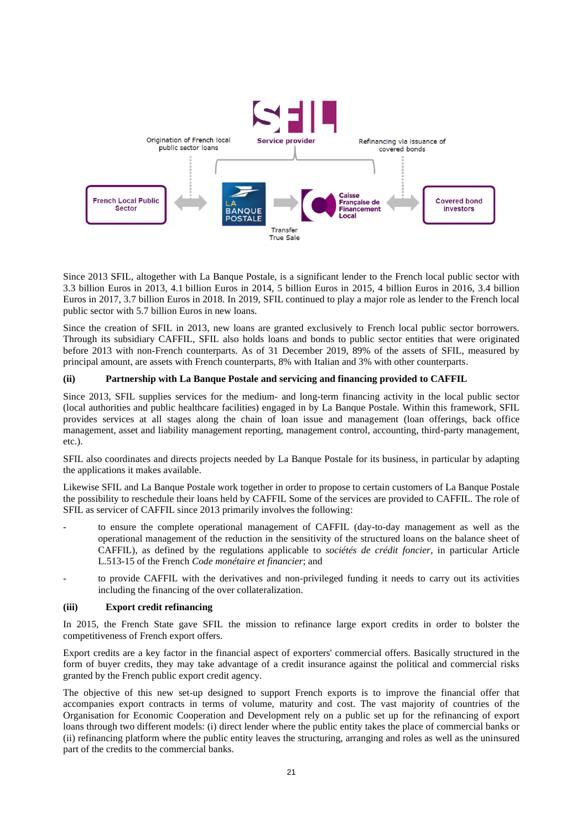

Since 2013 SFIL, altogether with La Banque Postale, is a significant lender to the French local public sector with 3.3 billion Euros in 2013, 4.1 billion Euros in 2014, 5 billion Euros in 2015, 4 billion Euros in 2016, 3.4 billion Euros in 2017, 3.7 billion Euros in 2018. In 2019, SFIL continued to play a major role as lender to the French local public sector with 5.7 billion Euros in new loans.

Since the creation of SFIL in 2013, new loans are granted exclusively to French local public sector borrowers. Through its subsidiary CAFFIL, SFIL also holds loans and bonds to public sector entities that were originated before 2013 with non-French counterparts. As of 31 December 2019, 89% of the assets of SFIL, measured by principal amount, are assets with French counterparts, 8% with Italian and 3% with other counterparts.

#### **(ii) Partnership with La Banque Postale and servicing and financing provided to CAFFIL**

Since 2013, SFIL supplies services for the medium- and long-term financing activity in the local public sector (local authorities and public healthcare facilities) engaged in by La Banque Postale. Within this framework, SFIL provides services at all stages along the chain of loan issue and management (loan offerings, back office management, asset and liability management reporting, management control, accounting, third-party management, etc.).

SFIL also coordinates and directs projects needed by La Banque Postale for its business, in particular by adapting the applications it makes available.

Likewise SFIL and La Banque Postale work together in order to propose to certain customers of La Banque Postale the possibility to reschedule their loans held by CAFFIL Some of the services are provided to CAFFIL. The role of SFIL as servicer of CAFFIL since 2013 primarily involves the following:

- to ensure the complete operational management of CAFFIL (day-to-day management as well as the operational management of the reduction in the sensitivity of the structured loans on the balance sheet of CAFFIL), as defined by the regulations applicable to *sociétés de crédit foncier*, in particular Article L.513-15 of the French *Code monétaire et financier*; and
- to provide CAFFIL with the derivatives and non-privileged funding it needs to carry out its activities including the financing of the over collateralization.

#### **(iii) Export credit refinancing**

In 2015, the French State gave SFIL the mission to refinance large export credits in order to bolster the competitiveness of French export offers.

Export credits are a key factor in the financial aspect of exporters' commercial offers. Basically structured in the form of buyer credits, they may take advantage of a credit insurance against the political and commercial risks granted by the French public export credit agency.

The objective of this new set-up designed to support French exports is to improve the financial offer that accompanies export contracts in terms of volume, maturity and cost. The vast majority of countries of the Organisation for Economic Cooperation and Development rely on a public set up for the refinancing of export loans through two different models: (i) direct lender where the public entity takes the place of commercial banks or (ii) refinancing platform where the public entity leaves the structuring, arranging and roles as well as the uninsured part of the credits to the commercial banks.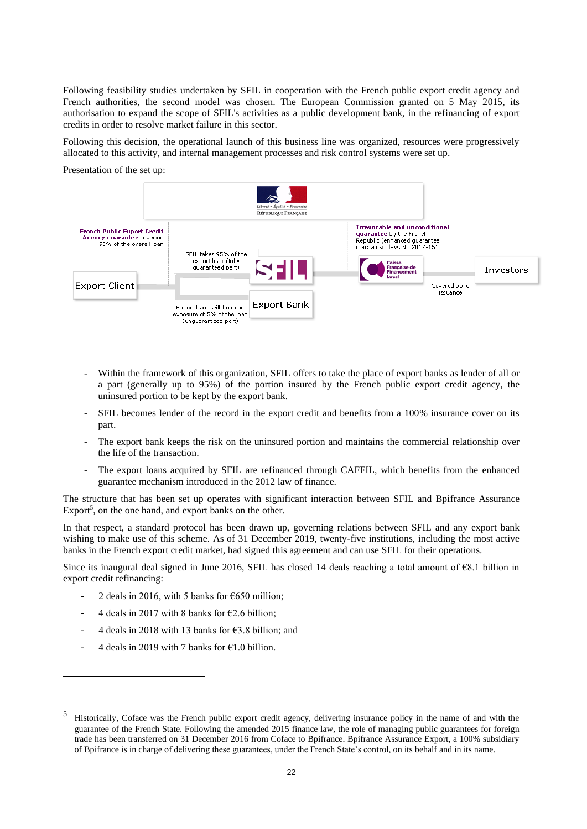Following feasibility studies undertaken by SFIL in cooperation with the French public export credit agency and French authorities, the second model was chosen. The European Commission granted on 5 May 2015, its authorisation to expand the scope of SFIL's activities as a public development bank, in the refinancing of export credits in order to resolve market failure in this sector.

Following this decision, the operational launch of this business line was organized, resources were progressively allocated to this activity, and internal management processes and risk control systems were set up.

Presentation of the set up:



- Within the framework of this organization, SFIL offers to take the place of export banks as lender of all or a part (generally up to 95%) of the portion insured by the French public export credit agency, the uninsured portion to be kept by the export bank.
- SFIL becomes lender of the record in the export credit and benefits from a 100% insurance cover on its part.
- The export bank keeps the risk on the uninsured portion and maintains the commercial relationship over the life of the transaction.
- The export loans acquired by SFIL are refinanced through CAFFIL, which benefits from the enhanced guarantee mechanism introduced in the 2012 law of finance.

The structure that has been set up operates with significant interaction between SFIL and Bpifrance Assurance Export<sup>5</sup>, on the one hand, and export banks on the other.

In that respect, a standard protocol has been drawn up, governing relations between SFIL and any export bank wishing to make use of this scheme. As of 31 December 2019, twenty-five institutions, including the most active banks in the French export credit market, had signed this agreement and can use SFIL for their operations.

Since its inaugural deal signed in June 2016, SFIL has closed 14 deals reaching a total amount of  $\epsilon$ 8.1 billion in export credit refinancing:

- 2 deals in 2016, with 5 banks for  $\epsilon$ 650 million;
- 4 deals in 2017 with 8 banks for  $\epsilon$ 2.6 billion;
- 4 deals in 2018 with 13 banks for  $\epsilon$ 3.8 billion; and
- 4 deals in 2019 with 7 banks for  $\epsilon$ 1.0 billion.

<sup>5</sup> Historically, Coface was the French public export credit agency, delivering insurance policy in the name of and with the guarantee of the French State. Following the amended 2015 finance law, the role of managing public guarantees for foreign trade has been transferred on 31 December 2016 from Coface to Bpifrance. Bpifrance Assurance Export, a 100% subsidiary of Bpifrance is in charge of delivering these guarantees, under the French State's control, on its behalf and in its name.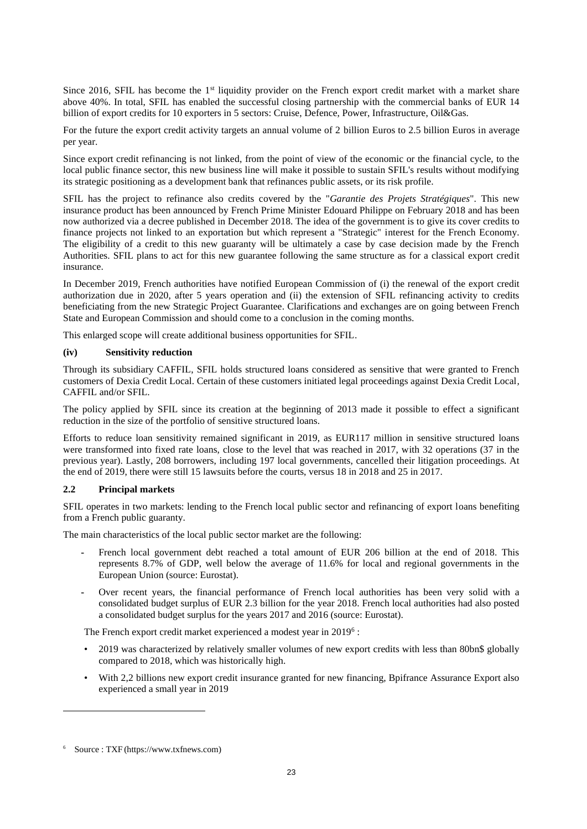Since 2016, SFIL has become the  $1<sup>st</sup>$  liquidity provider on the French export credit market with a market share above 40%. In total, SFIL has enabled the successful closing partnership with the commercial banks of EUR 14 billion of export credits for 10 exporters in 5 sectors: Cruise, Defence, Power, Infrastructure, Oil&Gas.

For the future the export credit activity targets an annual volume of 2 billion Euros to 2.5 billion Euros in average per year.

Since export credit refinancing is not linked, from the point of view of the economic or the financial cycle, to the local public finance sector, this new business line will make it possible to sustain SFIL's results without modifying its strategic positioning as a development bank that refinances public assets, or its risk profile.

SFIL has the project to refinance also credits covered by the "*Garantie des Projets Stratégiques*". This new insurance product has been announced by French Prime Minister Edouard Philippe on February 2018 and has been now authorized via a decree published in December 2018. The idea of the government is to give its cover credits to finance projects not linked to an exportation but which represent a "Strategic" interest for the French Economy. The eligibility of a credit to this new guaranty will be ultimately a case by case decision made by the French Authorities. SFIL plans to act for this new guarantee following the same structure as for a classical export credit insurance.

In December 2019, French authorities have notified European Commission of (i) the renewal of the export credit authorization due in 2020, after 5 years operation and (ii) the extension of SFIL refinancing activity to credits beneficiating from the new Strategic Project Guarantee. Clarifications and exchanges are on going between French State and European Commission and should come to a conclusion in the coming months.

This enlarged scope will create additional business opportunities for SFIL.

## **(iv) Sensitivity reduction**

Through its subsidiary CAFFIL, SFIL holds structured loans considered as sensitive that were granted to French customers of Dexia Credit Local. Certain of these customers initiated legal proceedings against Dexia Credit Local*,* CAFFIL and/or SFIL.

The policy applied by SFIL since its creation at the beginning of 2013 made it possible to effect a significant reduction in the size of the portfolio of sensitive structured loans.

Efforts to reduce loan sensitivity remained significant in 2019, as EUR117 million in sensitive structured loans were transformed into fixed rate loans, close to the level that was reached in 2017, with 32 operations (37 in the previous year). Lastly, 208 borrowers, including 197 local governments, cancelled their litigation proceedings. At the end of 2019, there were still 15 lawsuits before the courts, versus 18 in 2018 and 25 in 2017.

#### **2.2 Principal markets**

SFIL operates in two markets: lending to the French local public sector and refinancing of export loans benefiting from a French public guaranty.

The main characteristics of the local public sector market are the following:

- **-** French local government debt reached a total amount of EUR 206 billion at the end of 2018. This represents 8.7% of GDP, well below the average of 11.6% for local and regional governments in the European Union (source: Eurostat).
- **-** Over recent years, the financial performance of French local authorities has been very solid with a consolidated budget surplus of EUR 2.3 billion for the year 2018. French local authorities had also posted a consolidated budget surplus for the years 2017 and 2016 (source: Eurostat).

The French export credit market experienced a modest year in 2019<sup>6</sup>:

- 2019 was characterized by relatively smaller volumes of new export credits with less than 80bn\$ globally compared to 2018, which was historically high.
- With 2,2 billions new export credit insurance granted for new financing, Bpifrance Assurance Export also experienced a small year in 2019

<sup>6</sup> Source : TXF (https://www.txfnews.com)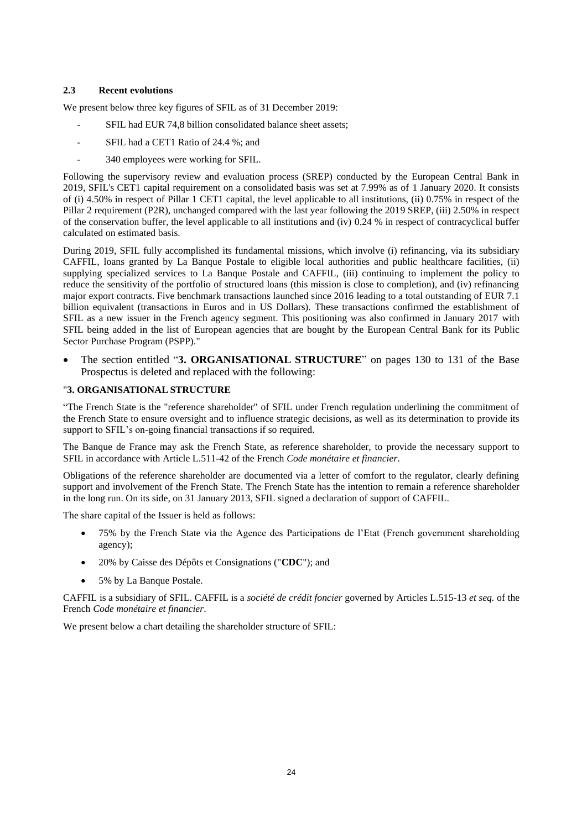#### **2.3 Recent evolutions**

We present below three key figures of SFIL as of 31 December 2019:

- SFIL had EUR 74,8 billion consolidated balance sheet assets;
- SFIL had a CET1 Ratio of 24.4 %; and
- 340 employees were working for SFIL.

Following the supervisory review and evaluation process (SREP) conducted by the European Central Bank in 2019, SFIL's CET1 capital requirement on a consolidated basis was set at 7.99% as of 1 January 2020. It consists of (i) 4.50% in respect of Pillar 1 CET1 capital, the level applicable to all institutions, (ii) 0.75% in respect of the Pillar 2 requirement (P2R), unchanged compared with the last year following the 2019 SREP, (iii) 2.50% in respect of the conservation buffer, the level applicable to all institutions and (iv) 0.24 % in respect of contracyclical buffer calculated on estimated basis.

During 2019, SFIL fully accomplished its fundamental missions, which involve (i) refinancing, via its subsidiary CAFFIL, loans granted by La Banque Postale to eligible local authorities and public healthcare facilities, (ii) supplying specialized services to La Banque Postale and CAFFIL, (iii) continuing to implement the policy to reduce the sensitivity of the portfolio of structured loans (this mission is close to completion), and (iv) refinancing major export contracts. Five benchmark transactions launched since 2016 leading to a total outstanding of EUR 7.1 billion equivalent (transactions in Euros and in US Dollars). These transactions confirmed the establishment of SFIL as a new issuer in the French agency segment. This positioning was also confirmed in January 2017 with SFIL being added in the list of European agencies that are bought by the European Central Bank for its Public Sector Purchase Program (PSPP)."

• The section entitled "**3. ORGANISATIONAL STRUCTURE**" on pages 130 to 131 of the Base Prospectus is deleted and replaced with the following:

## "**3. ORGANISATIONAL STRUCTURE**

"The French State is the "reference shareholder" of SFIL under French regulation underlining the commitment of the French State to ensure oversight and to influence strategic decisions, as well as its determination to provide its support to SFIL's on-going financial transactions if so required.

The Banque de France may ask the French State, as reference shareholder, to provide the necessary support to SFIL in accordance with Article L.511-42 of the French *Code monétaire et financier*.

Obligations of the reference shareholder are documented via a letter of comfort to the regulator, clearly defining support and involvement of the French State. The French State has the intention to remain a reference shareholder in the long run. On its side, on 31 January 2013, SFIL signed a declaration of support of CAFFIL.

The share capital of the Issuer is held as follows:

- 75% by the French State via the Agence des Participations de l'Etat (French government shareholding agency);
- 20% by Caisse des Dépôts et Consignations ("**CDC**"); and
- 5% by La Banque Postale.

CAFFIL is a subsidiary of SFIL. CAFFIL is a *société de crédit foncier* governed by Articles L.515-13 *et seq.* of the French *Code monétaire et financier*.

We present below a chart detailing the shareholder structure of SFIL: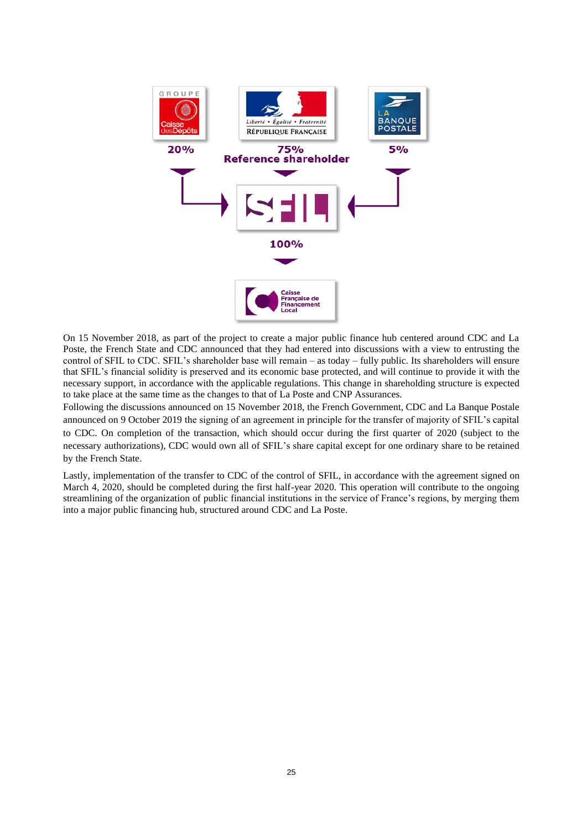

On 15 November 2018, as part of the project to create a major public finance hub centered around CDC and La Poste, the French State and CDC announced that they had entered into discussions with a view to entrusting the control of SFIL to CDC. SFIL's shareholder base will remain – as today – fully public. Its shareholders will ensure that SFIL's financial solidity is preserved and its economic base protected, and will continue to provide it with the necessary support, in accordance with the applicable regulations. This change in shareholding structure is expected to take place at the same time as the changes to that of La Poste and CNP Assurances.

Following the discussions announced on 15 November 2018, the French Government, CDC and La Banque Postale announced on 9 October 2019 the signing of an agreement in principle for the transfer of majority of SFIL's capital to CDC. On completion of the transaction, which should occur during the first quarter of 2020 (subject to the necessary authorizations), CDC would own all of SFIL's share capital except for one ordinary share to be retained by the French State.

Lastly, implementation of the transfer to CDC of the control of SFIL, in accordance with the agreement signed on March 4, 2020, should be completed during the first half-year 2020. This operation will contribute to the ongoing streamlining of the organization of public financial institutions in the service of France's regions, by merging them into a major public financing hub, structured around CDC and La Poste.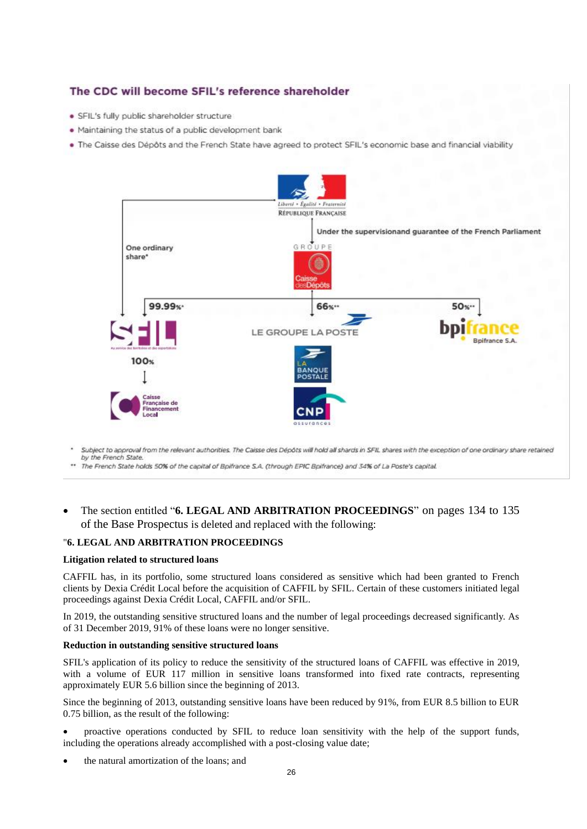## The CDC will become SFIL's reference shareholder

- · SFIL's fully public shareholder structure
- . Maintaining the status of a public development bank
- . The Caisse des Dépôts and the French State have agreed to protect SFIL's economic base and financial viability



Subject to approval from the relevant authorities. The Caisse des Dépôts will hold all shards in SFIL shares with the exception of one ordinary share retained by the French State.

\*\* The French State holds 50% of the capital of Bpifrance S.A. (through EPIC Bpifrance) and 34% of La Poste's capital.

• The section entitled "**6. LEGAL AND ARBITRATION PROCEEDINGS**" on pages 134 to 135 of the Base Prospectus is deleted and replaced with the following:

#### "**6. LEGAL AND ARBITRATION PROCEEDINGS**

#### **Litigation related to structured loans**

CAFFIL has, in its portfolio, some structured loans considered as sensitive which had been granted to French clients by Dexia Crédit Local before the acquisition of CAFFIL by SFIL. Certain of these customers initiated legal proceedings against Dexia Crédit Local, CAFFIL and/or SFIL.

In 2019, the outstanding sensitive structured loans and the number of legal proceedings decreased significantly. As of 31 December 2019, 91% of these loans were no longer sensitive.

#### **Reduction in outstanding sensitive structured loans**

SFIL's application of its policy to reduce the sensitivity of the structured loans of CAFFIL was effective in 2019, with a volume of EUR 117 million in sensitive loans transformed into fixed rate contracts, representing approximately EUR 5.6 billion since the beginning of 2013.

Since the beginning of 2013, outstanding sensitive loans have been reduced by 91%, from EUR 8.5 billion to EUR 0.75 billion, as the result of the following:

• proactive operations conducted by SFIL to reduce loan sensitivity with the help of the support funds, including the operations already accomplished with a post-closing value date;

• the natural amortization of the loans; and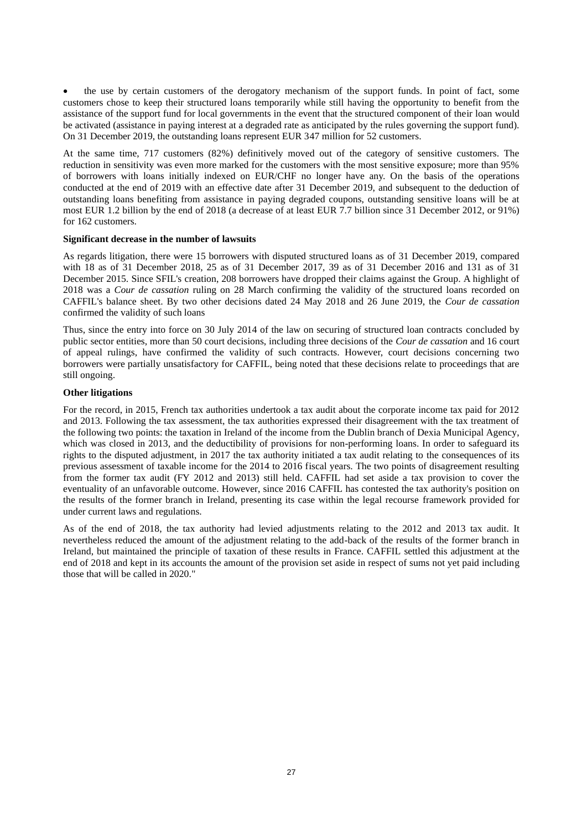• the use by certain customers of the derogatory mechanism of the support funds. In point of fact, some customers chose to keep their structured loans temporarily while still having the opportunity to benefit from the assistance of the support fund for local governments in the event that the structured component of their loan would be activated (assistance in paying interest at a degraded rate as anticipated by the rules governing the support fund). On 31 December 2019, the outstanding loans represent EUR 347 million for 52 customers.

At the same time, 717 customers (82%) definitively moved out of the category of sensitive customers. The reduction in sensitivity was even more marked for the customers with the most sensitive exposure; more than 95% of borrowers with loans initially indexed on EUR/CHF no longer have any. On the basis of the operations conducted at the end of 2019 with an effective date after 31 December 2019, and subsequent to the deduction of outstanding loans benefiting from assistance in paying degraded coupons, outstanding sensitive loans will be at most EUR 1.2 billion by the end of 2018 (a decrease of at least EUR 7.7 billion since 31 December 2012, or 91%) for 162 customers.

#### **Significant decrease in the number of lawsuits**

As regards litigation, there were 15 borrowers with disputed structured loans as of 31 December 2019, compared with 18 as of 31 December 2018, 25 as of 31 December 2017, 39 as of 31 December 2016 and 131 as of 31 December 2015. Since SFIL's creation, 208 borrowers have dropped their claims against the Group. A highlight of 2018 was a *Cour de cassation* ruling on 28 March confirming the validity of the structured loans recorded on CAFFIL's balance sheet. By two other decisions dated 24 May 2018 and 26 June 2019, the *Cour de cassation* confirmed the validity of such loans

Thus, since the entry into force on 30 July 2014 of the law on securing of structured loan contracts concluded by public sector entities, more than 50 court decisions, including three decisions of the *Cour de cassation* and 16 court of appeal rulings, have confirmed the validity of such contracts. However, court decisions concerning two borrowers were partially unsatisfactory for CAFFIL, being noted that these decisions relate to proceedings that are still ongoing.

#### **Other litigations**

For the record, in 2015, French tax authorities undertook a tax audit about the corporate income tax paid for 2012 and 2013. Following the tax assessment, the tax authorities expressed their disagreement with the tax treatment of the following two points: the taxation in Ireland of the income from the Dublin branch of Dexia Municipal Agency, which was closed in 2013, and the deductibility of provisions for non-performing loans. In order to safeguard its rights to the disputed adjustment, in 2017 the tax authority initiated a tax audit relating to the consequences of its previous assessment of taxable income for the 2014 to 2016 fiscal years. The two points of disagreement resulting from the former tax audit (FY 2012 and 2013) still held. CAFFIL had set aside a tax provision to cover the eventuality of an unfavorable outcome. However, since 2016 CAFFIL has contested the tax authority's position on the results of the former branch in Ireland, presenting its case within the legal recourse framework provided for under current laws and regulations.

As of the end of 2018, the tax authority had levied adjustments relating to the 2012 and 2013 tax audit. It nevertheless reduced the amount of the adjustment relating to the add-back of the results of the former branch in Ireland, but maintained the principle of taxation of these results in France. CAFFIL settled this adjustment at the end of 2018 and kept in its accounts the amount of the provision set aside in respect of sums not yet paid including those that will be called in 2020."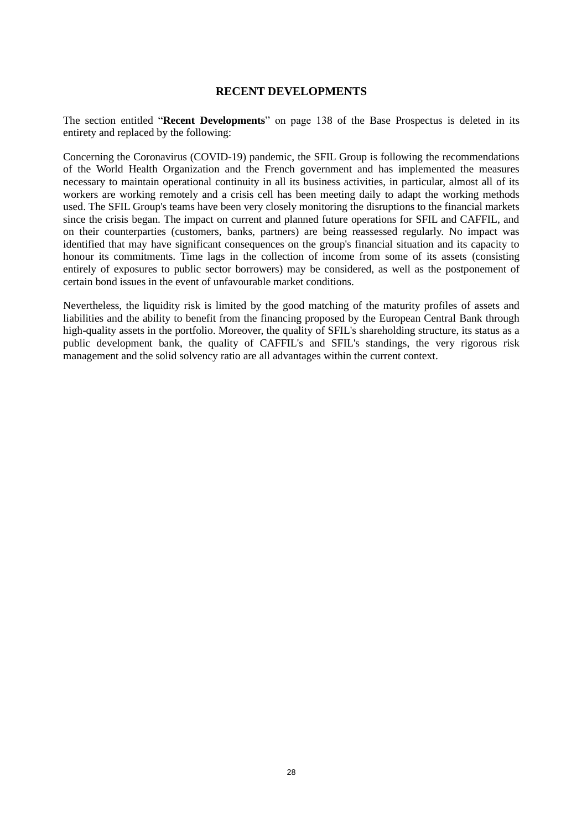## **RECENT DEVELOPMENTS**

<span id="page-27-0"></span>The section entitled "**Recent Developments**" on page 138 of the Base Prospectus is deleted in its entirety and replaced by the following:

Concerning the Coronavirus (COVID-19) pandemic, the SFIL Group is following the recommendations of the World Health Organization and the French government and has implemented the measures necessary to maintain operational continuity in all its business activities, in particular, almost all of its workers are working remotely and a crisis cell has been meeting daily to adapt the working methods used. The SFIL Group's teams have been very closely monitoring the disruptions to the financial markets since the crisis began. The impact on current and planned future operations for SFIL and CAFFIL, and on their counterparties (customers, banks, partners) are being reassessed regularly. No impact was identified that may have significant consequences on the group's financial situation and its capacity to honour its commitments. Time lags in the collection of income from some of its assets (consisting entirely of exposures to public sector borrowers) may be considered, as well as the postponement of certain bond issues in the event of unfavourable market conditions.

Nevertheless, the liquidity risk is limited by the good matching of the maturity profiles of assets and liabilities and the ability to benefit from the financing proposed by the European Central Bank through high-quality assets in the portfolio. Moreover, the quality of SFIL's shareholding structure, its status as a public development bank, the quality of CAFFIL's and SFIL's standings, the very rigorous risk management and the solid solvency ratio are all advantages within the current context.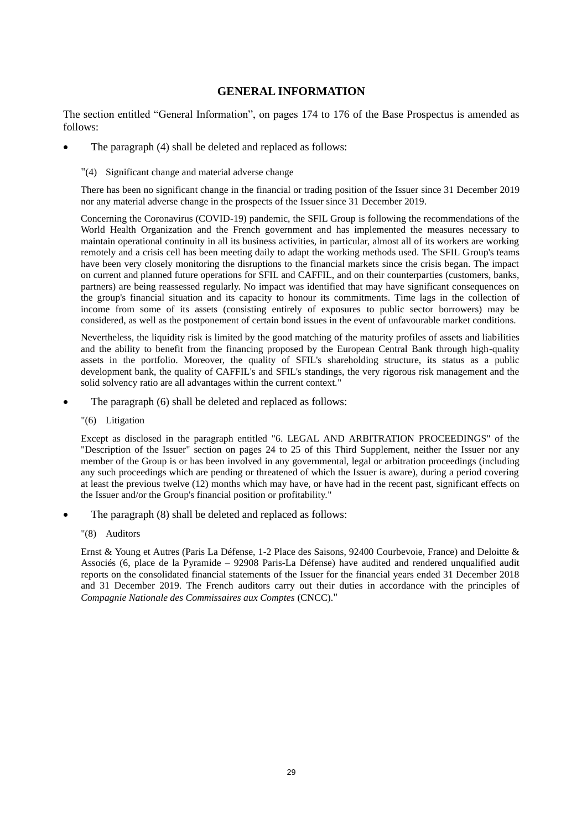## **GENERAL INFORMATION**

<span id="page-28-0"></span>The section entitled "General Information", on pages 174 to 176 of the Base Prospectus is amended as follows:

- The paragraph (4) shall be deleted and replaced as follows:
	- "(4) Significant change and material adverse change

There has been no significant change in the financial or trading position of the Issuer since 31 December 2019 nor any material adverse change in the prospects of the Issuer since 31 December 2019.

Concerning the Coronavirus (COVID-19) pandemic, the SFIL Group is following the recommendations of the World Health Organization and the French government and has implemented the measures necessary to maintain operational continuity in all its business activities, in particular, almost all of its workers are working remotely and a crisis cell has been meeting daily to adapt the working methods used. The SFIL Group's teams have been very closely monitoring the disruptions to the financial markets since the crisis began. The impact on current and planned future operations for SFIL and CAFFIL, and on their counterparties (customers, banks, partners) are being reassessed regularly. No impact was identified that may have significant consequences on the group's financial situation and its capacity to honour its commitments. Time lags in the collection of income from some of its assets (consisting entirely of exposures to public sector borrowers) may be considered, as well as the postponement of certain bond issues in the event of unfavourable market conditions.

Nevertheless, the liquidity risk is limited by the good matching of the maturity profiles of assets and liabilities and the ability to benefit from the financing proposed by the European Central Bank through high-quality assets in the portfolio. Moreover, the quality of SFIL's shareholding structure, its status as a public development bank, the quality of CAFFIL's and SFIL's standings, the very rigorous risk management and the solid solvency ratio are all advantages within the current context."

- The paragraph (6) shall be deleted and replaced as follows:
	- "(6) Litigation

Except as disclosed in the paragraph entitled "6. LEGAL AND ARBITRATION PROCEEDINGS" of the "Description of the Issuer" section on pages 24 to 25 of this Third Supplement, neither the Issuer nor any member of the Group is or has been involved in any governmental, legal or arbitration proceedings (including any such proceedings which are pending or threatened of which the Issuer is aware), during a period covering at least the previous twelve (12) months which may have, or have had in the recent past, significant effects on the Issuer and/or the Group's financial position or profitability."

- The paragraph  $(8)$  shall be deleted and replaced as follows:
	- "(8) Auditors

Ernst & Young et Autres (Paris La Défense, 1-2 Place des Saisons, 92400 Courbevoie, France) and Deloitte & Associés (6, place de la Pyramide – 92908 Paris-La Défense) have audited and rendered unqualified audit reports on the consolidated financial statements of the Issuer for the financial years ended 31 December 2018 and 31 December 2019. The French auditors carry out their duties in accordance with the principles of *Compagnie Nationale des Commissaires aux Comptes* (CNCC)."